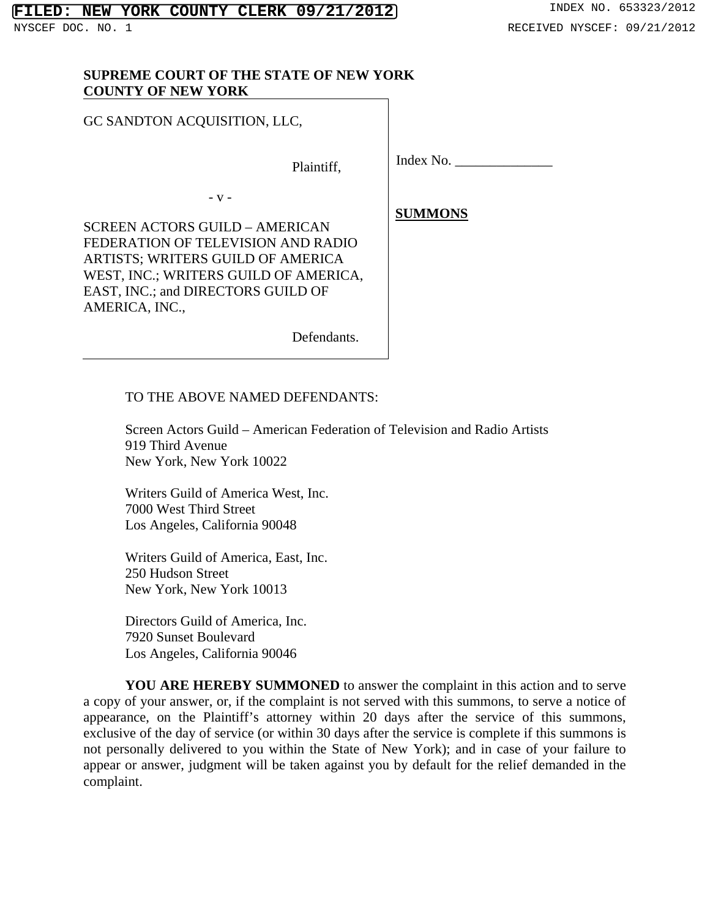#### **SUPREME COURT OF THE STATE OF NEW YORK COUNTY OF NEW YORK**

GC SANDTON ACQUISITION, LLC,

Plaintiff,

- v -

SCREEN ACTORS GUILD – AMERICAN FEDERATION OF TELEVISION AND RADIO ARTISTS; WRITERS GUILD OF AMERICA WEST, INC.; WRITERS GUILD OF AMERICA, EAST, INC.; and DIRECTORS GUILD OF AMERICA, INC.,

Defendants.

 **SUMMONS** 

Index No. \_\_\_\_\_\_\_\_\_\_\_\_\_\_

TO THE ABOVE NAMED DEFENDANTS:

 Screen Actors Guild – American Federation of Television and Radio Artists 919 Third Avenue New York, New York 10022

 Writers Guild of America West, Inc. 7000 West Third Street Los Angeles, California 90048

 Writers Guild of America, East, Inc. 250 Hudson Street New York, New York 10013

 Directors Guild of America, Inc. 7920 Sunset Boulevard Los Angeles, California 90046

 **YOU ARE HEREBY SUMMONED** to answer the complaint in this action and to serve a copy of your answer, or, if the complaint is not served with this summons, to serve a notice of appearance, on the Plaintiff's attorney within 20 days after the service of this summons, exclusive of the day of service (or within 30 days after the service is complete if this summons is not personally delivered to you within the State of New York); and in case of your failure to appear or answer, judgment will be taken against you by default for the relief demanded in the complaint.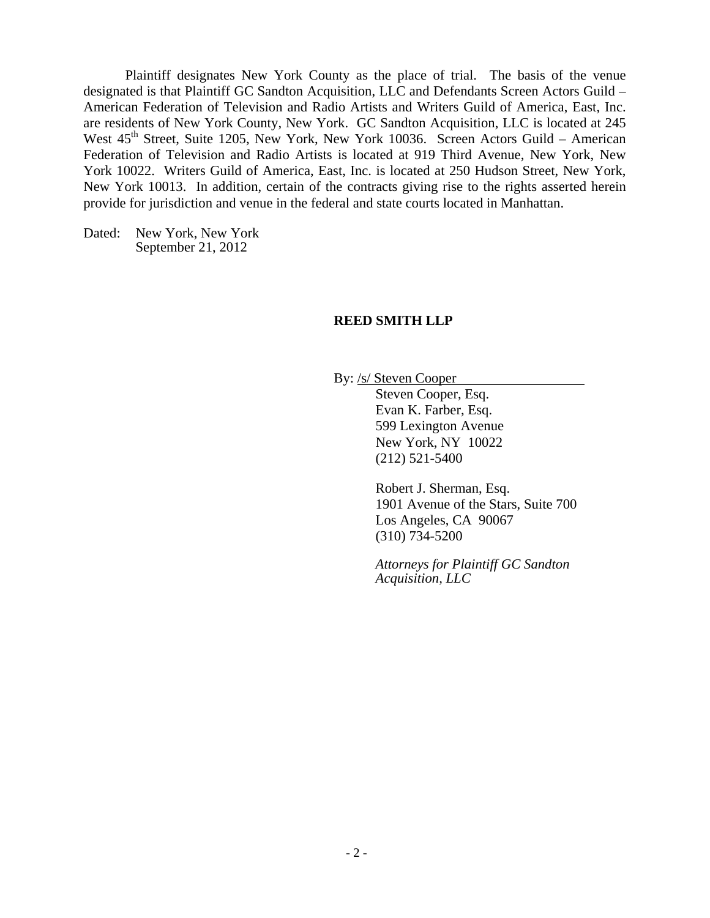Plaintiff designates New York County as the place of trial. The basis of the venue designated is that Plaintiff GC Sandton Acquisition, LLC and Defendants Screen Actors Guild – American Federation of Television and Radio Artists and Writers Guild of America, East, Inc. are residents of New York County, New York. GC Sandton Acquisition, LLC is located at 245 West  $45<sup>th</sup>$  Street, Suite 1205, New York, New York 10036. Screen Actors Guild – American Federation of Television and Radio Artists is located at 919 Third Avenue, New York, New York 10022. Writers Guild of America, East, Inc. is located at 250 Hudson Street, New York, New York 10013. In addition, certain of the contracts giving rise to the rights asserted herein provide for jurisdiction and venue in the federal and state courts located in Manhattan.

Dated: New York, New York September 21, 2012

#### **REED SMITH LLP**

By: /s/ Steven Cooper

 Steven Cooper, Esq. Evan K. Farber, Esq. 599 Lexington Avenue New York, NY 10022 (212) 521-5400

Robert J. Sherman, Esq. 1901 Avenue of the Stars, Suite 700 Los Angeles, CA 90067 (310) 734-5200

*Attorneys for Plaintiff GC Sandton Acquisition, LLC*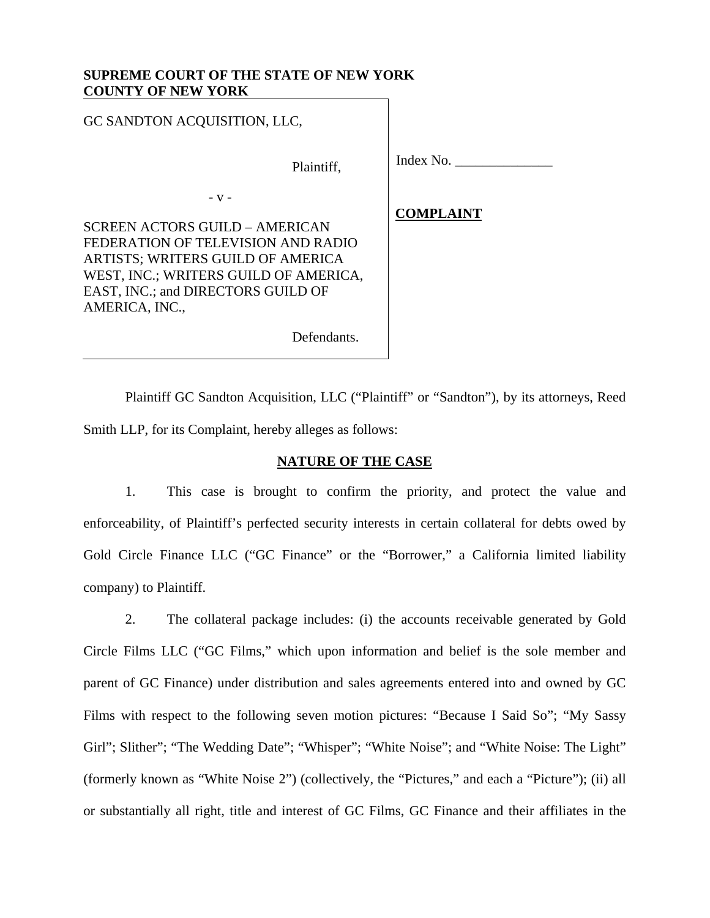#### **SUPREME COURT OF THE STATE OF NEW YORK COUNTY OF NEW YORK**

GC SANDTON ACQUISITION, LLC, Plaintiff, - v - SCREEN ACTORS GUILD – AMERICAN FEDERATION OF TELEVISION AND RADIO ARTISTS; WRITERS GUILD OF AMERICA WEST, INC.; WRITERS GUILD OF AMERICA, EAST, INC.; and DIRECTORS GUILD OF AMERICA, INC., Defendants. Index No. \_\_\_\_\_\_\_\_\_\_\_\_\_\_  **COMPLAINT** 

 Plaintiff GC Sandton Acquisition, LLC ("Plaintiff" or "Sandton"), by its attorneys, Reed Smith LLP, for its Complaint, hereby alleges as follows:

# **NATURE OF THE CASE**

1. This case is brought to confirm the priority, and protect the value and enforceability, of Plaintiff's perfected security interests in certain collateral for debts owed by Gold Circle Finance LLC ("GC Finance" or the "Borrower," a California limited liability company) to Plaintiff.

2. The collateral package includes: (i) the accounts receivable generated by Gold Circle Films LLC ("GC Films," which upon information and belief is the sole member and parent of GC Finance) under distribution and sales agreements entered into and owned by GC Films with respect to the following seven motion pictures: "Because I Said So"; "My Sassy Girl"; Slither"; "The Wedding Date"; "Whisper"; "White Noise"; and "White Noise: The Light" (formerly known as "White Noise 2") (collectively, the "Pictures," and each a "Picture"); (ii) all or substantially all right, title and interest of GC Films, GC Finance and their affiliates in the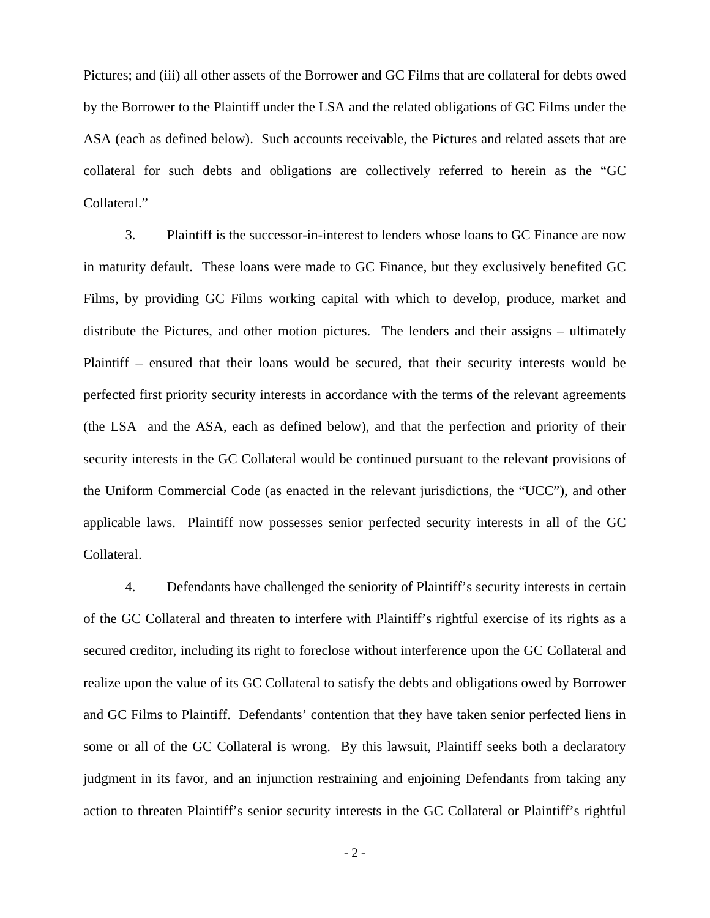Pictures; and (iii) all other assets of the Borrower and GC Films that are collateral for debts owed by the Borrower to the Plaintiff under the LSA and the related obligations of GC Films under the ASA (each as defined below). Such accounts receivable, the Pictures and related assets that are collateral for such debts and obligations are collectively referred to herein as the "GC Collateral."

3. Plaintiff is the successor-in-interest to lenders whose loans to GC Finance are now in maturity default. These loans were made to GC Finance, but they exclusively benefited GC Films, by providing GC Films working capital with which to develop, produce, market and distribute the Pictures, and other motion pictures. The lenders and their assigns – ultimately Plaintiff – ensured that their loans would be secured, that their security interests would be perfected first priority security interests in accordance with the terms of the relevant agreements (the LSA and the ASA, each as defined below), and that the perfection and priority of their security interests in the GC Collateral would be continued pursuant to the relevant provisions of the Uniform Commercial Code (as enacted in the relevant jurisdictions, the "UCC"), and other applicable laws. Plaintiff now possesses senior perfected security interests in all of the GC Collateral.

4. Defendants have challenged the seniority of Plaintiff's security interests in certain of the GC Collateral and threaten to interfere with Plaintiff's rightful exercise of its rights as a secured creditor, including its right to foreclose without interference upon the GC Collateral and realize upon the value of its GC Collateral to satisfy the debts and obligations owed by Borrower and GC Films to Plaintiff. Defendants' contention that they have taken senior perfected liens in some or all of the GC Collateral is wrong. By this lawsuit, Plaintiff seeks both a declaratory judgment in its favor, and an injunction restraining and enjoining Defendants from taking any action to threaten Plaintiff's senior security interests in the GC Collateral or Plaintiff's rightful

- 2 -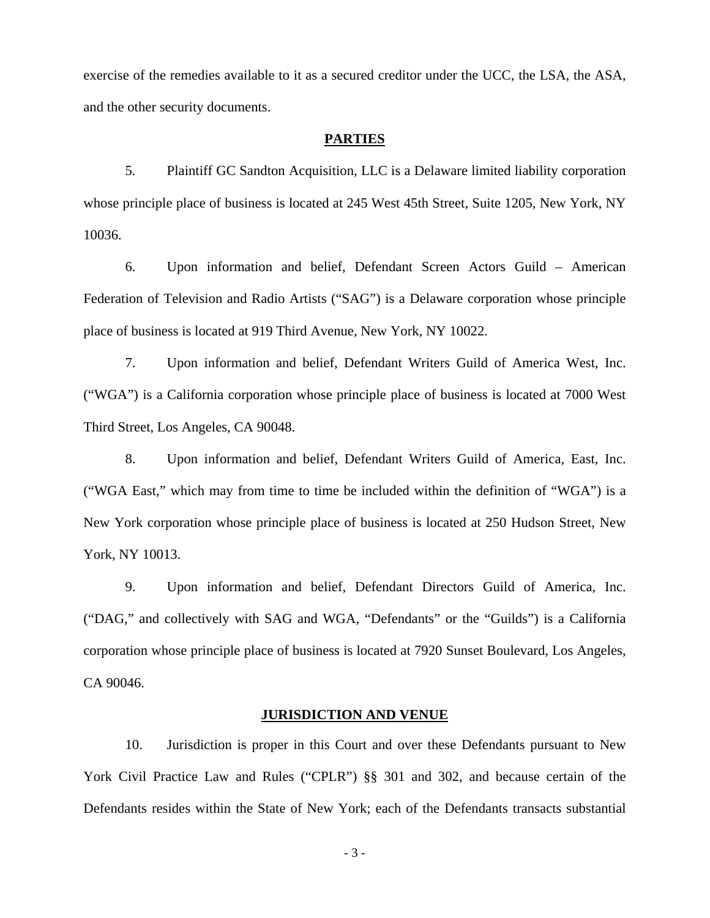exercise of the remedies available to it as a secured creditor under the UCC, the LSA, the ASA, and the other security documents.

#### **PARTIES**

5. Plaintiff GC Sandton Acquisition, LLC is a Delaware limited liability corporation whose principle place of business is located at 245 West 45th Street, Suite 1205, New York, NY 10036.

6. Upon information and belief, Defendant Screen Actors Guild – American Federation of Television and Radio Artists ("SAG") is a Delaware corporation whose principle place of business is located at 919 Third Avenue, New York, NY 10022.

7. Upon information and belief, Defendant Writers Guild of America West, Inc. ("WGA") is a California corporation whose principle place of business is located at 7000 West Third Street, Los Angeles, CA 90048.

8. Upon information and belief, Defendant Writers Guild of America, East, Inc. ("WGA East," which may from time to time be included within the definition of "WGA") is a New York corporation whose principle place of business is located at 250 Hudson Street, New York, NY 10013.

9. Upon information and belief, Defendant Directors Guild of America, Inc. ("DAG," and collectively with SAG and WGA, "Defendants" or the "Guilds") is a California corporation whose principle place of business is located at 7920 Sunset Boulevard, Los Angeles, CA 90046.

### **JURISDICTION AND VENUE**

10. Jurisdiction is proper in this Court and over these Defendants pursuant to New York Civil Practice Law and Rules ("CPLR") §§ 301 and 302, and because certain of the Defendants resides within the State of New York; each of the Defendants transacts substantial

- 3 -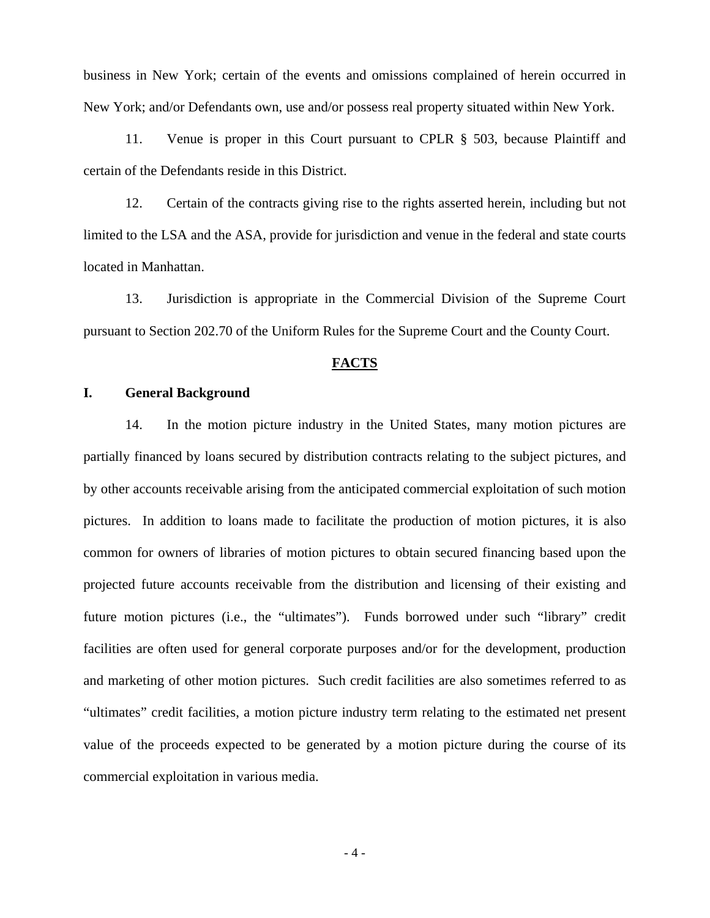business in New York; certain of the events and omissions complained of herein occurred in New York; and/or Defendants own, use and/or possess real property situated within New York.

11. Venue is proper in this Court pursuant to CPLR § 503, because Plaintiff and certain of the Defendants reside in this District.

12. Certain of the contracts giving rise to the rights asserted herein, including but not limited to the LSA and the ASA, provide for jurisdiction and venue in the federal and state courts located in Manhattan.

13. Jurisdiction is appropriate in the Commercial Division of the Supreme Court pursuant to Section 202.70 of the Uniform Rules for the Supreme Court and the County Court.

#### **FACTS**

#### **I. General Background**

14. In the motion picture industry in the United States, many motion pictures are partially financed by loans secured by distribution contracts relating to the subject pictures, and by other accounts receivable arising from the anticipated commercial exploitation of such motion pictures. In addition to loans made to facilitate the production of motion pictures, it is also common for owners of libraries of motion pictures to obtain secured financing based upon the projected future accounts receivable from the distribution and licensing of their existing and future motion pictures (i.e., the "ultimates"). Funds borrowed under such "library" credit facilities are often used for general corporate purposes and/or for the development, production and marketing of other motion pictures. Such credit facilities are also sometimes referred to as "ultimates" credit facilities, a motion picture industry term relating to the estimated net present value of the proceeds expected to be generated by a motion picture during the course of its commercial exploitation in various media.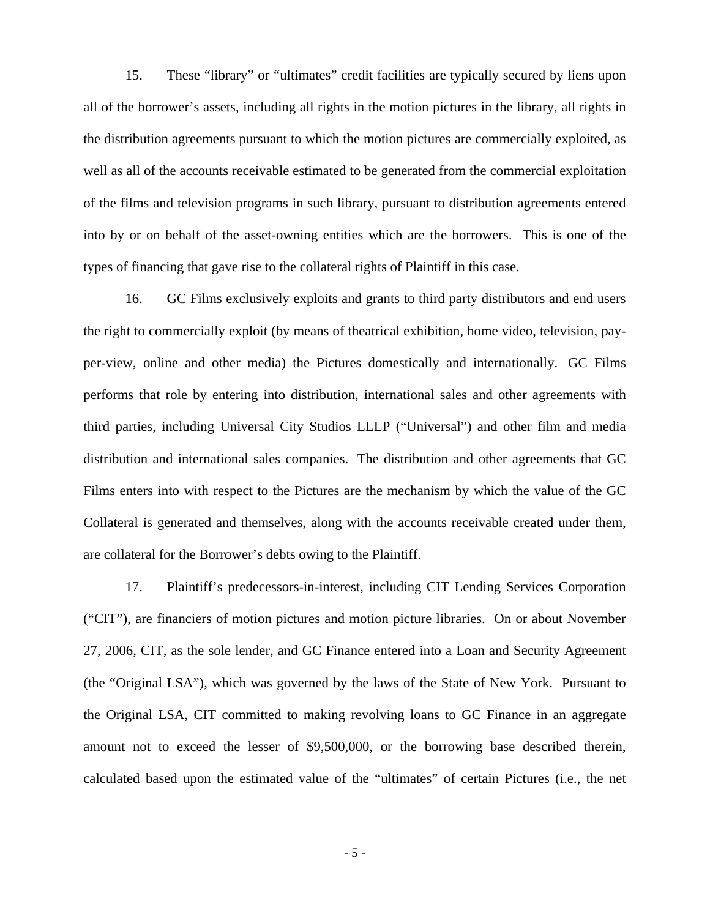15. These "library" or "ultimates" credit facilities are typically secured by liens upon all of the borrower's assets, including all rights in the motion pictures in the library, all rights in the distribution agreements pursuant to which the motion pictures are commercially exploited, as well as all of the accounts receivable estimated to be generated from the commercial exploitation of the films and television programs in such library, pursuant to distribution agreements entered into by or on behalf of the asset-owning entities which are the borrowers. This is one of the types of financing that gave rise to the collateral rights of Plaintiff in this case.

16. GC Films exclusively exploits and grants to third party distributors and end users the right to commercially exploit (by means of theatrical exhibition, home video, television, payper-view, online and other media) the Pictures domestically and internationally. GC Films performs that role by entering into distribution, international sales and other agreements with third parties, including Universal City Studios LLLP ("Universal") and other film and media distribution and international sales companies. The distribution and other agreements that GC Films enters into with respect to the Pictures are the mechanism by which the value of the GC Collateral is generated and themselves, along with the accounts receivable created under them, are collateral for the Borrower's debts owing to the Plaintiff.

17. Plaintiff's predecessors-in-interest, including CIT Lending Services Corporation ("CIT"), are financiers of motion pictures and motion picture libraries. On or about November 27, 2006, CIT, as the sole lender, and GC Finance entered into a Loan and Security Agreement (the "Original LSA"), which was governed by the laws of the State of New York. Pursuant to the Original LSA, CIT committed to making revolving loans to GC Finance in an aggregate amount not to exceed the lesser of \$9,500,000, or the borrowing base described therein, calculated based upon the estimated value of the "ultimates" of certain Pictures (i.e., the net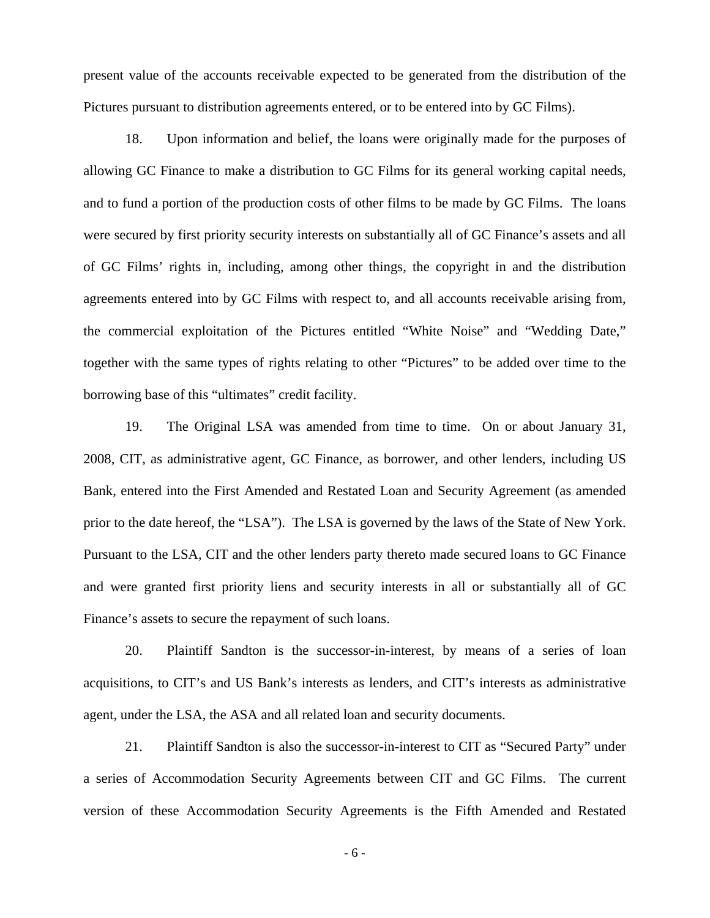present value of the accounts receivable expected to be generated from the distribution of the Pictures pursuant to distribution agreements entered, or to be entered into by GC Films).

18. Upon information and belief, the loans were originally made for the purposes of allowing GC Finance to make a distribution to GC Films for its general working capital needs, and to fund a portion of the production costs of other films to be made by GC Films. The loans were secured by first priority security interests on substantially all of GC Finance's assets and all of GC Films' rights in, including, among other things, the copyright in and the distribution agreements entered into by GC Films with respect to, and all accounts receivable arising from, the commercial exploitation of the Pictures entitled "White Noise" and "Wedding Date," together with the same types of rights relating to other "Pictures" to be added over time to the borrowing base of this "ultimates" credit facility.

19. The Original LSA was amended from time to time. On or about January 31, 2008, CIT, as administrative agent, GC Finance, as borrower, and other lenders, including US Bank, entered into the First Amended and Restated Loan and Security Agreement (as amended prior to the date hereof, the "LSA"). The LSA is governed by the laws of the State of New York. Pursuant to the LSA, CIT and the other lenders party thereto made secured loans to GC Finance and were granted first priority liens and security interests in all or substantially all of GC Finance's assets to secure the repayment of such loans.

20. Plaintiff Sandton is the successor-in-interest, by means of a series of loan acquisitions, to CIT's and US Bank's interests as lenders, and CIT's interests as administrative agent, under the LSA, the ASA and all related loan and security documents.

21. Plaintiff Sandton is also the successor-in-interest to CIT as "Secured Party" under a series of Accommodation Security Agreements between CIT and GC Films. The current version of these Accommodation Security Agreements is the Fifth Amended and Restated

- 6 -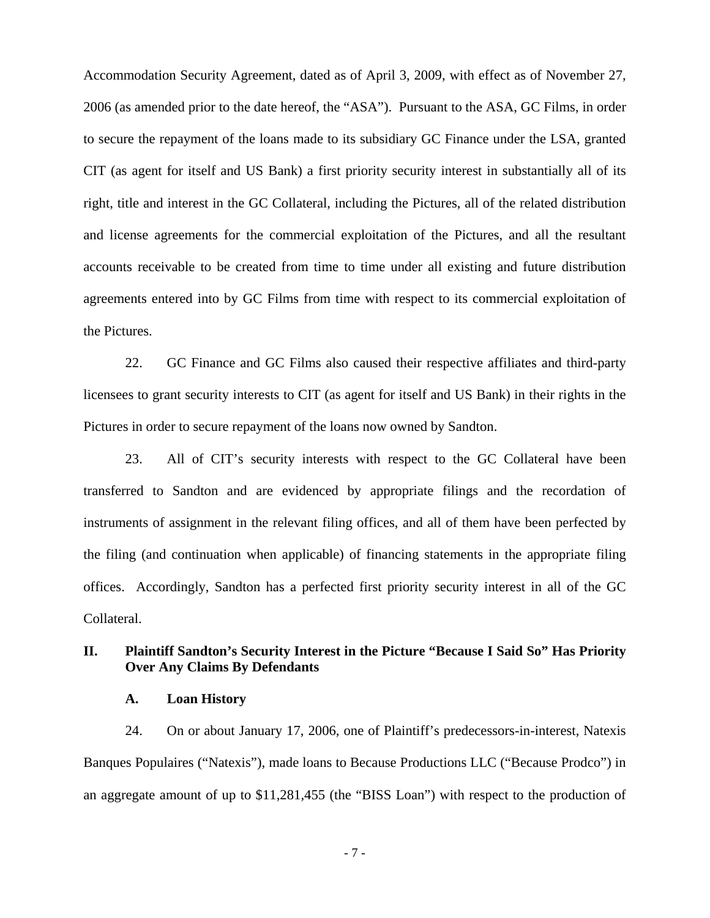Accommodation Security Agreement, dated as of April 3, 2009, with effect as of November 27, 2006 (as amended prior to the date hereof, the "ASA"). Pursuant to the ASA, GC Films, in order to secure the repayment of the loans made to its subsidiary GC Finance under the LSA, granted CIT (as agent for itself and US Bank) a first priority security interest in substantially all of its right, title and interest in the GC Collateral, including the Pictures, all of the related distribution and license agreements for the commercial exploitation of the Pictures, and all the resultant accounts receivable to be created from time to time under all existing and future distribution agreements entered into by GC Films from time with respect to its commercial exploitation of the Pictures.

22. GC Finance and GC Films also caused their respective affiliates and third-party licensees to grant security interests to CIT (as agent for itself and US Bank) in their rights in the Pictures in order to secure repayment of the loans now owned by Sandton.

23. All of CIT's security interests with respect to the GC Collateral have been transferred to Sandton and are evidenced by appropriate filings and the recordation of instruments of assignment in the relevant filing offices, and all of them have been perfected by the filing (and continuation when applicable) of financing statements in the appropriate filing offices. Accordingly, Sandton has a perfected first priority security interest in all of the GC Collateral.

# **II. Plaintiff Sandton's Security Interest in the Picture "Because I Said So" Has Priority Over Any Claims By Defendants**

#### **A. Loan History**

24. On or about January 17, 2006, one of Plaintiff's predecessors-in-interest, Natexis Banques Populaires ("Natexis"), made loans to Because Productions LLC ("Because Prodco") in an aggregate amount of up to \$11,281,455 (the "BISS Loan") with respect to the production of

- 7 -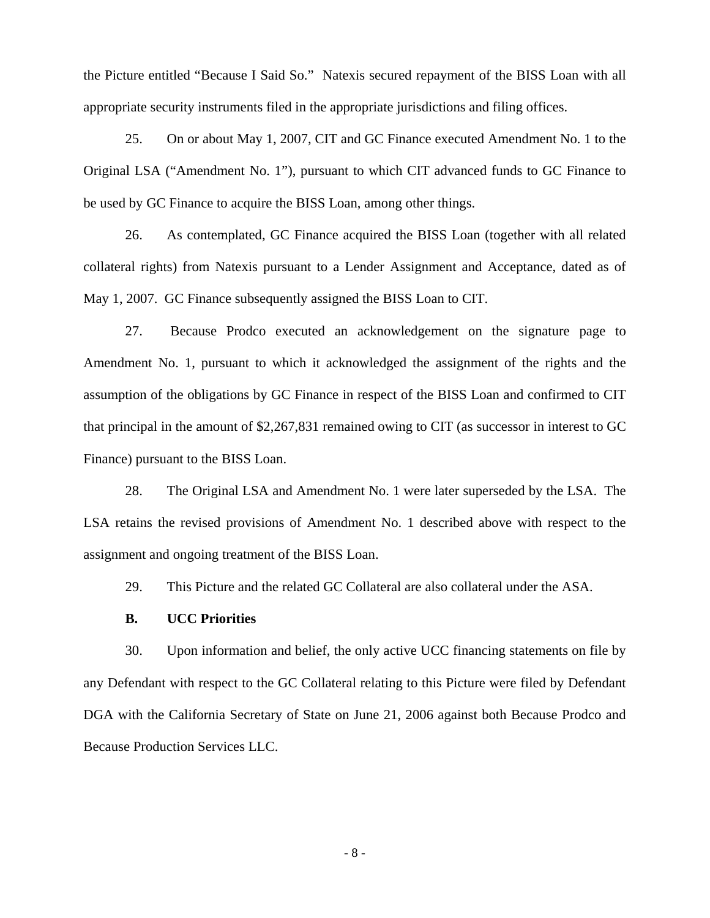the Picture entitled "Because I Said So." Natexis secured repayment of the BISS Loan with all appropriate security instruments filed in the appropriate jurisdictions and filing offices.

25. On or about May 1, 2007, CIT and GC Finance executed Amendment No. 1 to the Original LSA ("Amendment No. 1"), pursuant to which CIT advanced funds to GC Finance to be used by GC Finance to acquire the BISS Loan, among other things.

26. As contemplated, GC Finance acquired the BISS Loan (together with all related collateral rights) from Natexis pursuant to a Lender Assignment and Acceptance, dated as of May 1, 2007. GC Finance subsequently assigned the BISS Loan to CIT.

27. Because Prodco executed an acknowledgement on the signature page to Amendment No. 1, pursuant to which it acknowledged the assignment of the rights and the assumption of the obligations by GC Finance in respect of the BISS Loan and confirmed to CIT that principal in the amount of \$2,267,831 remained owing to CIT (as successor in interest to GC Finance) pursuant to the BISS Loan.

28. The Original LSA and Amendment No. 1 were later superseded by the LSA. The LSA retains the revised provisions of Amendment No. 1 described above with respect to the assignment and ongoing treatment of the BISS Loan.

29. This Picture and the related GC Collateral are also collateral under the ASA.

### **B. UCC Priorities**

30. Upon information and belief, the only active UCC financing statements on file by any Defendant with respect to the GC Collateral relating to this Picture were filed by Defendant DGA with the California Secretary of State on June 21, 2006 against both Because Prodco and Because Production Services LLC.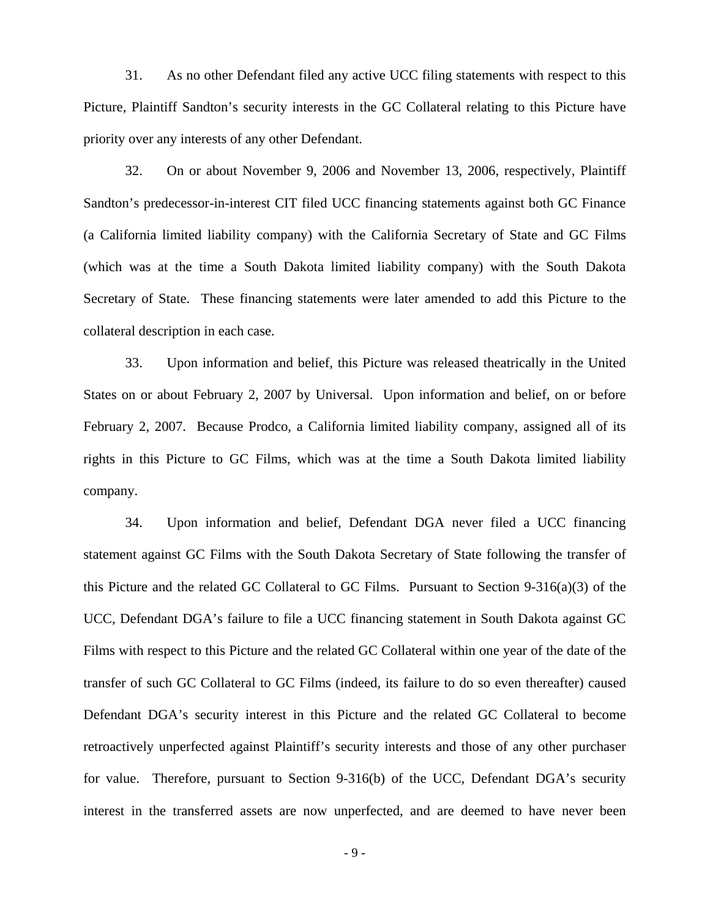31. As no other Defendant filed any active UCC filing statements with respect to this Picture, Plaintiff Sandton's security interests in the GC Collateral relating to this Picture have priority over any interests of any other Defendant.

32. On or about November 9, 2006 and November 13, 2006, respectively, Plaintiff Sandton's predecessor-in-interest CIT filed UCC financing statements against both GC Finance (a California limited liability company) with the California Secretary of State and GC Films (which was at the time a South Dakota limited liability company) with the South Dakota Secretary of State. These financing statements were later amended to add this Picture to the collateral description in each case.

33. Upon information and belief, this Picture was released theatrically in the United States on or about February 2, 2007 by Universal. Upon information and belief, on or before February 2, 2007. Because Prodco, a California limited liability company, assigned all of its rights in this Picture to GC Films, which was at the time a South Dakota limited liability company.

34. Upon information and belief, Defendant DGA never filed a UCC financing statement against GC Films with the South Dakota Secretary of State following the transfer of this Picture and the related GC Collateral to GC Films. Pursuant to Section 9-316(a)(3) of the UCC, Defendant DGA's failure to file a UCC financing statement in South Dakota against GC Films with respect to this Picture and the related GC Collateral within one year of the date of the transfer of such GC Collateral to GC Films (indeed, its failure to do so even thereafter) caused Defendant DGA's security interest in this Picture and the related GC Collateral to become retroactively unperfected against Plaintiff's security interests and those of any other purchaser for value. Therefore, pursuant to Section 9-316(b) of the UCC, Defendant DGA's security interest in the transferred assets are now unperfected, and are deemed to have never been

- 9 -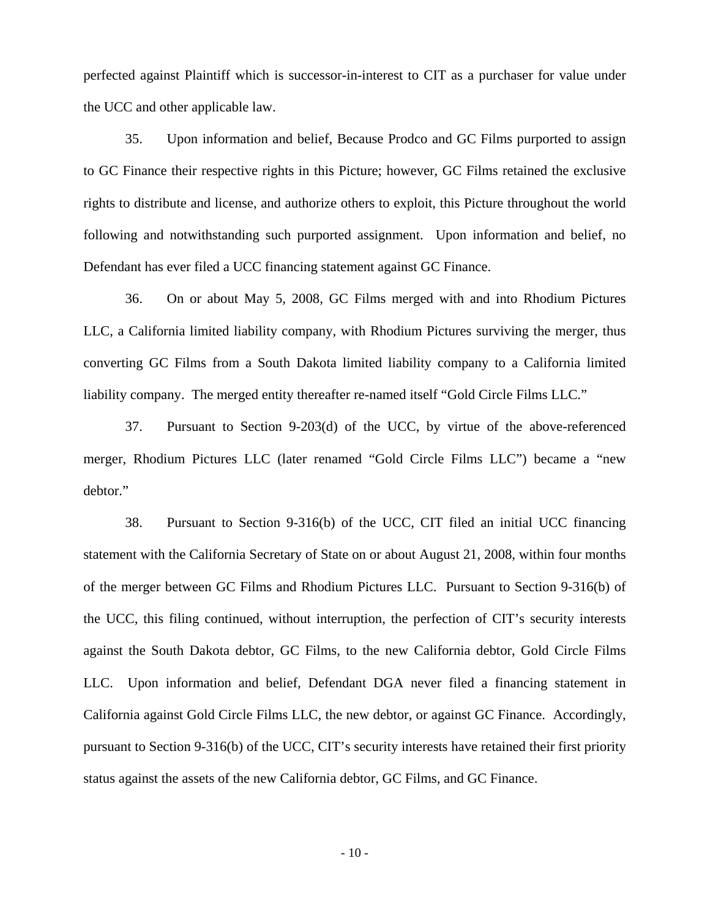perfected against Plaintiff which is successor-in-interest to CIT as a purchaser for value under the UCC and other applicable law.

35. Upon information and belief, Because Prodco and GC Films purported to assign to GC Finance their respective rights in this Picture; however, GC Films retained the exclusive rights to distribute and license, and authorize others to exploit, this Picture throughout the world following and notwithstanding such purported assignment. Upon information and belief, no Defendant has ever filed a UCC financing statement against GC Finance.

36. On or about May 5, 2008, GC Films merged with and into Rhodium Pictures LLC, a California limited liability company, with Rhodium Pictures surviving the merger, thus converting GC Films from a South Dakota limited liability company to a California limited liability company. The merged entity thereafter re-named itself "Gold Circle Films LLC."

37. Pursuant to Section 9-203(d) of the UCC, by virtue of the above-referenced merger, Rhodium Pictures LLC (later renamed "Gold Circle Films LLC") became a "new debtor."

38. Pursuant to Section 9-316(b) of the UCC, CIT filed an initial UCC financing statement with the California Secretary of State on or about August 21, 2008, within four months of the merger between GC Films and Rhodium Pictures LLC. Pursuant to Section 9-316(b) of the UCC, this filing continued, without interruption, the perfection of CIT's security interests against the South Dakota debtor, GC Films, to the new California debtor, Gold Circle Films LLC. Upon information and belief, Defendant DGA never filed a financing statement in California against Gold Circle Films LLC, the new debtor, or against GC Finance. Accordingly, pursuant to Section 9-316(b) of the UCC, CIT's security interests have retained their first priority status against the assets of the new California debtor, GC Films, and GC Finance.

- 10 -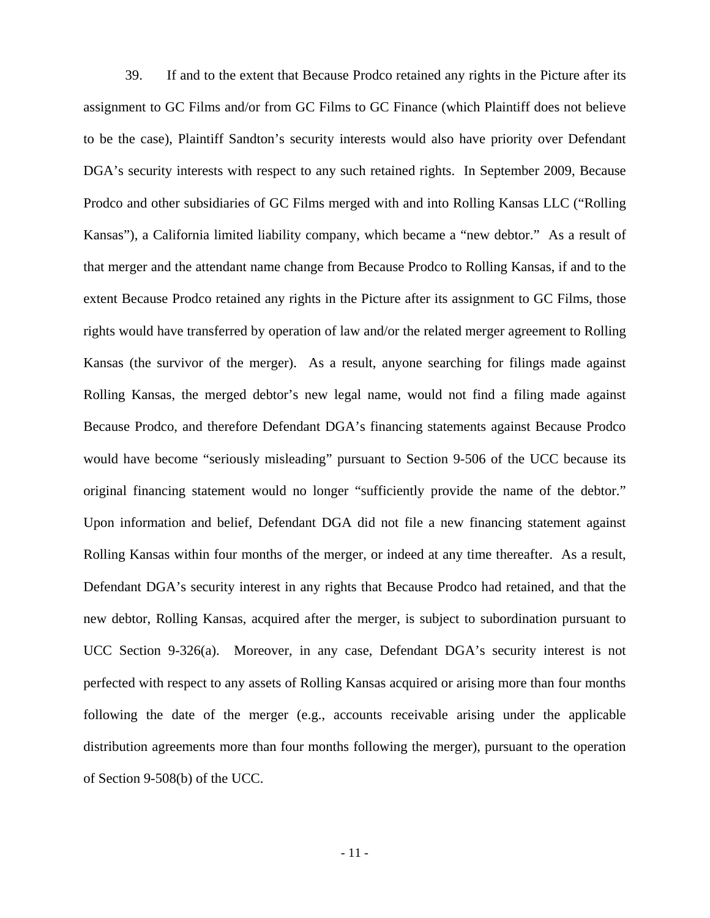39. If and to the extent that Because Prodco retained any rights in the Picture after its assignment to GC Films and/or from GC Films to GC Finance (which Plaintiff does not believe to be the case), Plaintiff Sandton's security interests would also have priority over Defendant DGA's security interests with respect to any such retained rights. In September 2009, Because Prodco and other subsidiaries of GC Films merged with and into Rolling Kansas LLC ("Rolling Kansas"), a California limited liability company, which became a "new debtor." As a result of that merger and the attendant name change from Because Prodco to Rolling Kansas, if and to the extent Because Prodco retained any rights in the Picture after its assignment to GC Films, those rights would have transferred by operation of law and/or the related merger agreement to Rolling Kansas (the survivor of the merger). As a result, anyone searching for filings made against Rolling Kansas, the merged debtor's new legal name, would not find a filing made against Because Prodco, and therefore Defendant DGA's financing statements against Because Prodco would have become "seriously misleading" pursuant to Section 9-506 of the UCC because its original financing statement would no longer "sufficiently provide the name of the debtor." Upon information and belief, Defendant DGA did not file a new financing statement against Rolling Kansas within four months of the merger, or indeed at any time thereafter. As a result, Defendant DGA's security interest in any rights that Because Prodco had retained, and that the new debtor, Rolling Kansas, acquired after the merger, is subject to subordination pursuant to UCC Section 9-326(a). Moreover, in any case, Defendant DGA's security interest is not perfected with respect to any assets of Rolling Kansas acquired or arising more than four months following the date of the merger (e.g., accounts receivable arising under the applicable distribution agreements more than four months following the merger), pursuant to the operation of Section 9-508(b) of the UCC.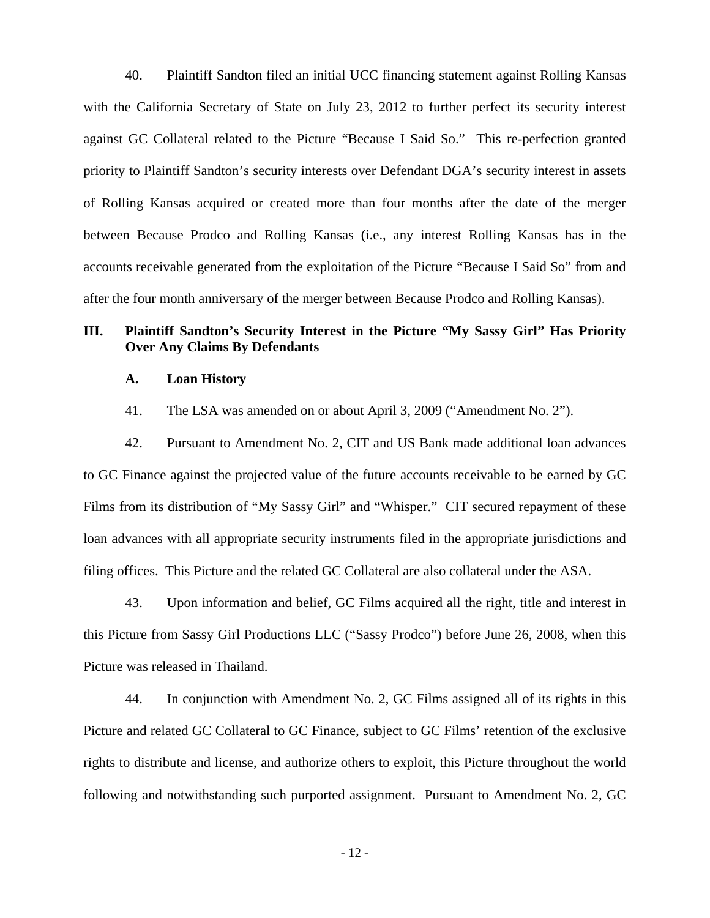40. Plaintiff Sandton filed an initial UCC financing statement against Rolling Kansas with the California Secretary of State on July 23, 2012 to further perfect its security interest against GC Collateral related to the Picture "Because I Said So." This re-perfection granted priority to Plaintiff Sandton's security interests over Defendant DGA's security interest in assets of Rolling Kansas acquired or created more than four months after the date of the merger between Because Prodco and Rolling Kansas (i.e., any interest Rolling Kansas has in the accounts receivable generated from the exploitation of the Picture "Because I Said So" from and after the four month anniversary of the merger between Because Prodco and Rolling Kansas).

# **III. Plaintiff Sandton's Security Interest in the Picture "My Sassy Girl" Has Priority Over Any Claims By Defendants**

# **A. Loan History**

41. The LSA was amended on or about April 3, 2009 ("Amendment No. 2").

42. Pursuant to Amendment No. 2, CIT and US Bank made additional loan advances to GC Finance against the projected value of the future accounts receivable to be earned by GC Films from its distribution of "My Sassy Girl" and "Whisper." CIT secured repayment of these loan advances with all appropriate security instruments filed in the appropriate jurisdictions and filing offices. This Picture and the related GC Collateral are also collateral under the ASA.

43. Upon information and belief, GC Films acquired all the right, title and interest in this Picture from Sassy Girl Productions LLC ("Sassy Prodco") before June 26, 2008, when this Picture was released in Thailand.

44. In conjunction with Amendment No. 2, GC Films assigned all of its rights in this Picture and related GC Collateral to GC Finance, subject to GC Films' retention of the exclusive rights to distribute and license, and authorize others to exploit, this Picture throughout the world following and notwithstanding such purported assignment. Pursuant to Amendment No. 2, GC

- 12 -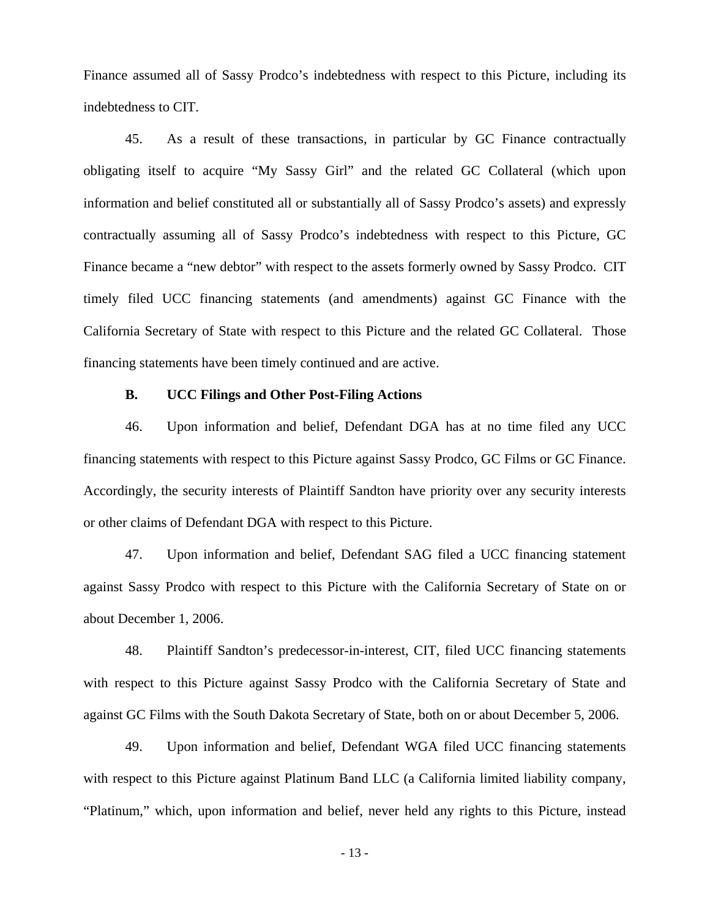Finance assumed all of Sassy Prodco's indebtedness with respect to this Picture, including its indebtedness to CIT.

45. As a result of these transactions, in particular by GC Finance contractually obligating itself to acquire "My Sassy Girl" and the related GC Collateral (which upon information and belief constituted all or substantially all of Sassy Prodco's assets) and expressly contractually assuming all of Sassy Prodco's indebtedness with respect to this Picture, GC Finance became a "new debtor" with respect to the assets formerly owned by Sassy Prodco. CIT timely filed UCC financing statements (and amendments) against GC Finance with the California Secretary of State with respect to this Picture and the related GC Collateral. Those financing statements have been timely continued and are active.

# **B. UCC Filings and Other Post-Filing Actions**

46. Upon information and belief, Defendant DGA has at no time filed any UCC financing statements with respect to this Picture against Sassy Prodco, GC Films or GC Finance. Accordingly, the security interests of Plaintiff Sandton have priority over any security interests or other claims of Defendant DGA with respect to this Picture.

47. Upon information and belief, Defendant SAG filed a UCC financing statement against Sassy Prodco with respect to this Picture with the California Secretary of State on or about December 1, 2006.

48. Plaintiff Sandton's predecessor-in-interest, CIT, filed UCC financing statements with respect to this Picture against Sassy Prodco with the California Secretary of State and against GC Films with the South Dakota Secretary of State, both on or about December 5, 2006.

49. Upon information and belief, Defendant WGA filed UCC financing statements with respect to this Picture against Platinum Band LLC (a California limited liability company, "Platinum," which, upon information and belief, never held any rights to this Picture, instead

- 13 -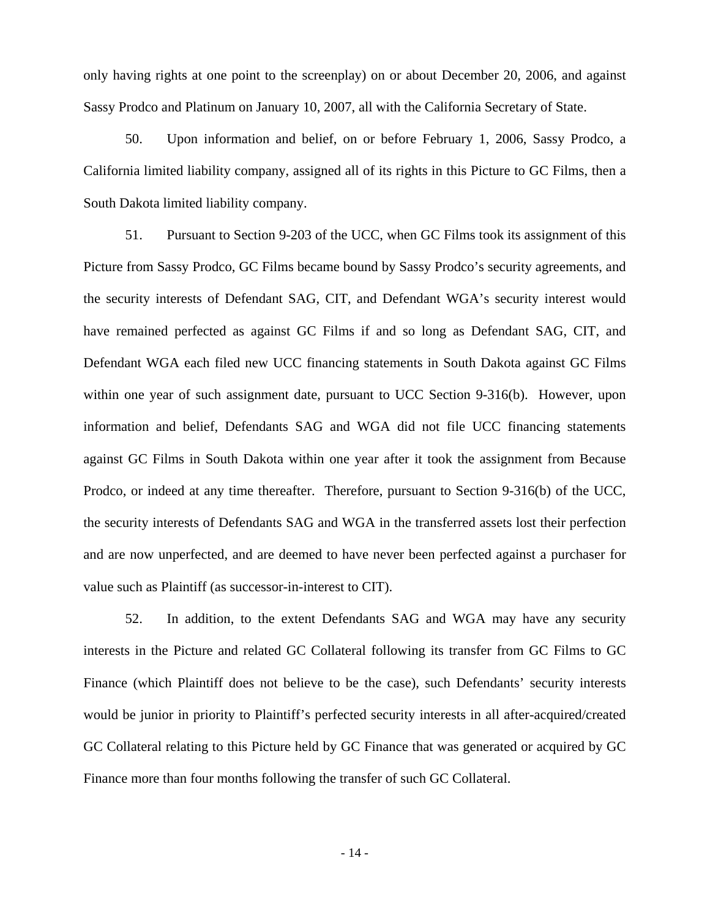only having rights at one point to the screenplay) on or about December 20, 2006, and against Sassy Prodco and Platinum on January 10, 2007, all with the California Secretary of State.

50. Upon information and belief, on or before February 1, 2006, Sassy Prodco, a California limited liability company, assigned all of its rights in this Picture to GC Films, then a South Dakota limited liability company.

51. Pursuant to Section 9-203 of the UCC, when GC Films took its assignment of this Picture from Sassy Prodco, GC Films became bound by Sassy Prodco's security agreements, and the security interests of Defendant SAG, CIT, and Defendant WGA's security interest would have remained perfected as against GC Films if and so long as Defendant SAG, CIT, and Defendant WGA each filed new UCC financing statements in South Dakota against GC Films within one year of such assignment date, pursuant to UCC Section 9-316(b). However, upon information and belief, Defendants SAG and WGA did not file UCC financing statements against GC Films in South Dakota within one year after it took the assignment from Because Prodco, or indeed at any time thereafter. Therefore, pursuant to Section 9-316(b) of the UCC, the security interests of Defendants SAG and WGA in the transferred assets lost their perfection and are now unperfected, and are deemed to have never been perfected against a purchaser for value such as Plaintiff (as successor-in-interest to CIT).

52. In addition, to the extent Defendants SAG and WGA may have any security interests in the Picture and related GC Collateral following its transfer from GC Films to GC Finance (which Plaintiff does not believe to be the case), such Defendants' security interests would be junior in priority to Plaintiff's perfected security interests in all after-acquired/created GC Collateral relating to this Picture held by GC Finance that was generated or acquired by GC Finance more than four months following the transfer of such GC Collateral.

- 14 -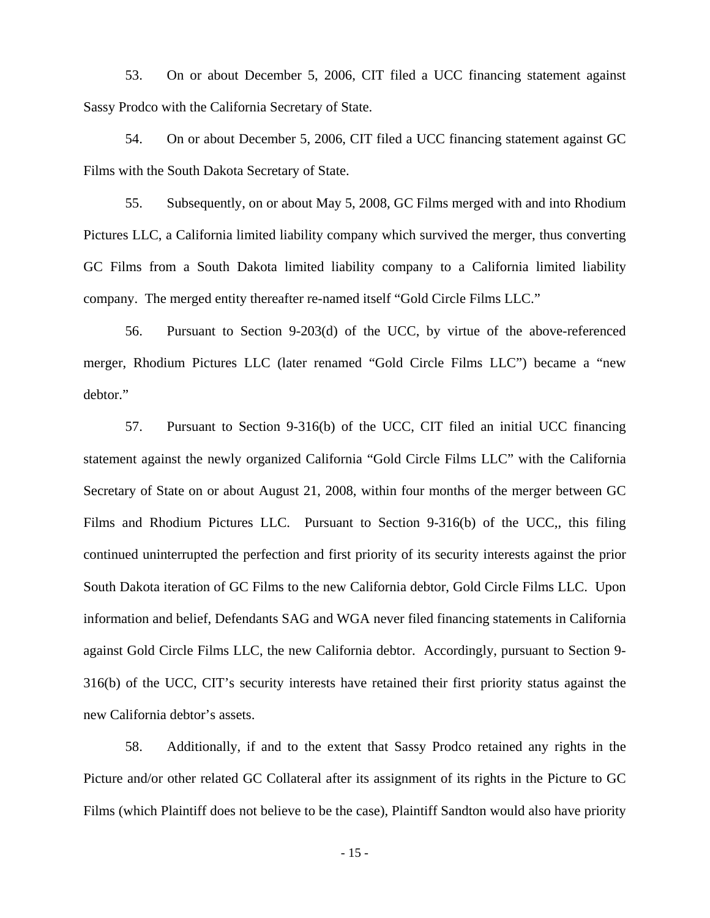53. On or about December 5, 2006, CIT filed a UCC financing statement against Sassy Prodco with the California Secretary of State.

54. On or about December 5, 2006, CIT filed a UCC financing statement against GC Films with the South Dakota Secretary of State.

55. Subsequently, on or about May 5, 2008, GC Films merged with and into Rhodium Pictures LLC, a California limited liability company which survived the merger, thus converting GC Films from a South Dakota limited liability company to a California limited liability company. The merged entity thereafter re-named itself "Gold Circle Films LLC."

56. Pursuant to Section 9-203(d) of the UCC, by virtue of the above-referenced merger, Rhodium Pictures LLC (later renamed "Gold Circle Films LLC") became a "new debtor."

57. Pursuant to Section 9-316(b) of the UCC, CIT filed an initial UCC financing statement against the newly organized California "Gold Circle Films LLC" with the California Secretary of State on or about August 21, 2008, within four months of the merger between GC Films and Rhodium Pictures LLC. Pursuant to Section 9-316(b) of the UCC,, this filing continued uninterrupted the perfection and first priority of its security interests against the prior South Dakota iteration of GC Films to the new California debtor, Gold Circle Films LLC. Upon information and belief, Defendants SAG and WGA never filed financing statements in California against Gold Circle Films LLC, the new California debtor. Accordingly, pursuant to Section 9- 316(b) of the UCC, CIT's security interests have retained their first priority status against the new California debtor's assets.

58. Additionally, if and to the extent that Sassy Prodco retained any rights in the Picture and/or other related GC Collateral after its assignment of its rights in the Picture to GC Films (which Plaintiff does not believe to be the case), Plaintiff Sandton would also have priority

- 15 -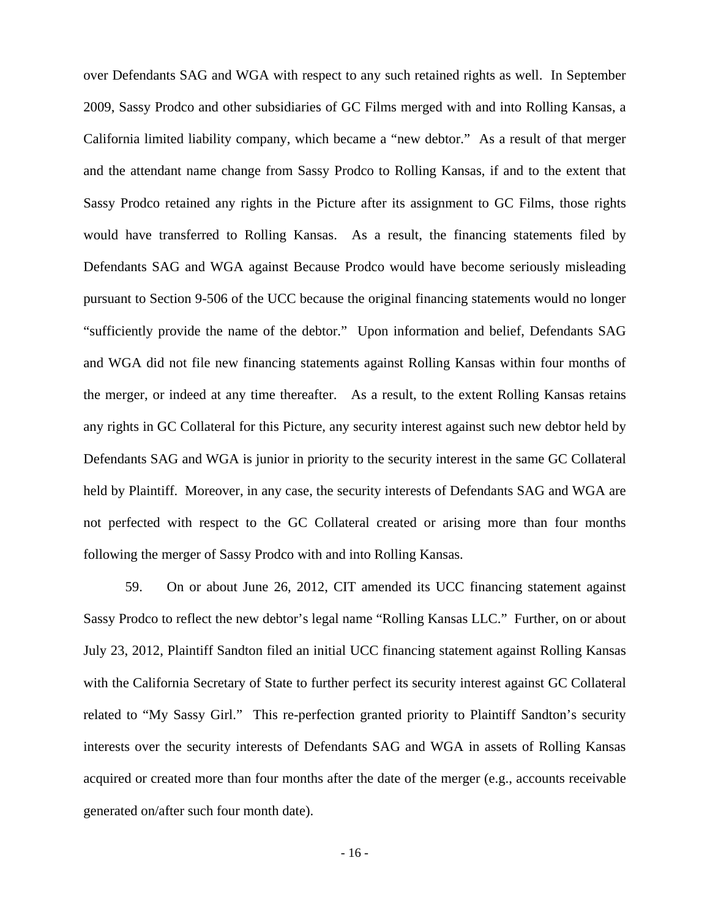over Defendants SAG and WGA with respect to any such retained rights as well. In September 2009, Sassy Prodco and other subsidiaries of GC Films merged with and into Rolling Kansas, a California limited liability company, which became a "new debtor." As a result of that merger and the attendant name change from Sassy Prodco to Rolling Kansas, if and to the extent that Sassy Prodco retained any rights in the Picture after its assignment to GC Films, those rights would have transferred to Rolling Kansas. As a result, the financing statements filed by Defendants SAG and WGA against Because Prodco would have become seriously misleading pursuant to Section 9-506 of the UCC because the original financing statements would no longer "sufficiently provide the name of the debtor." Upon information and belief, Defendants SAG and WGA did not file new financing statements against Rolling Kansas within four months of the merger, or indeed at any time thereafter. As a result, to the extent Rolling Kansas retains any rights in GC Collateral for this Picture, any security interest against such new debtor held by Defendants SAG and WGA is junior in priority to the security interest in the same GC Collateral held by Plaintiff. Moreover, in any case, the security interests of Defendants SAG and WGA are not perfected with respect to the GC Collateral created or arising more than four months following the merger of Sassy Prodco with and into Rolling Kansas.

59. On or about June 26, 2012, CIT amended its UCC financing statement against Sassy Prodco to reflect the new debtor's legal name "Rolling Kansas LLC." Further, on or about July 23, 2012, Plaintiff Sandton filed an initial UCC financing statement against Rolling Kansas with the California Secretary of State to further perfect its security interest against GC Collateral related to "My Sassy Girl." This re-perfection granted priority to Plaintiff Sandton's security interests over the security interests of Defendants SAG and WGA in assets of Rolling Kansas acquired or created more than four months after the date of the merger (e.g., accounts receivable generated on/after such four month date).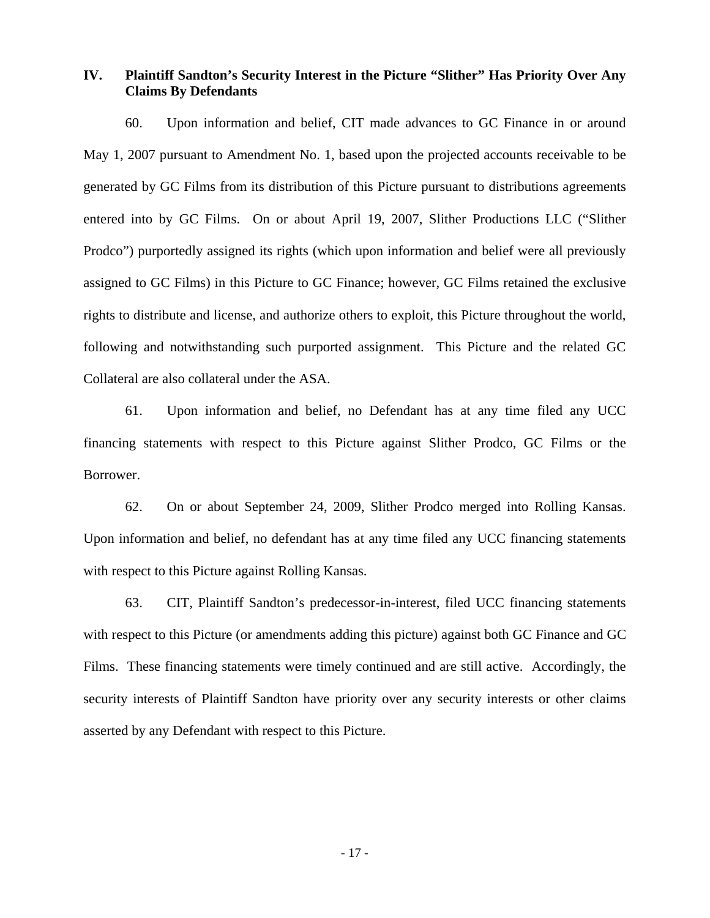# **IV. Plaintiff Sandton's Security Interest in the Picture "Slither" Has Priority Over Any Claims By Defendants**

60. Upon information and belief, CIT made advances to GC Finance in or around May 1, 2007 pursuant to Amendment No. 1, based upon the projected accounts receivable to be generated by GC Films from its distribution of this Picture pursuant to distributions agreements entered into by GC Films. On or about April 19, 2007, Slither Productions LLC ("Slither Prodco") purportedly assigned its rights (which upon information and belief were all previously assigned to GC Films) in this Picture to GC Finance; however, GC Films retained the exclusive rights to distribute and license, and authorize others to exploit, this Picture throughout the world, following and notwithstanding such purported assignment. This Picture and the related GC Collateral are also collateral under the ASA.

61. Upon information and belief, no Defendant has at any time filed any UCC financing statements with respect to this Picture against Slither Prodco, GC Films or the Borrower.

62. On or about September 24, 2009, Slither Prodco merged into Rolling Kansas. Upon information and belief, no defendant has at any time filed any UCC financing statements with respect to this Picture against Rolling Kansas.

63. CIT, Plaintiff Sandton's predecessor-in-interest, filed UCC financing statements with respect to this Picture (or amendments adding this picture) against both GC Finance and GC Films. These financing statements were timely continued and are still active. Accordingly, the security interests of Plaintiff Sandton have priority over any security interests or other claims asserted by any Defendant with respect to this Picture.

- 17 -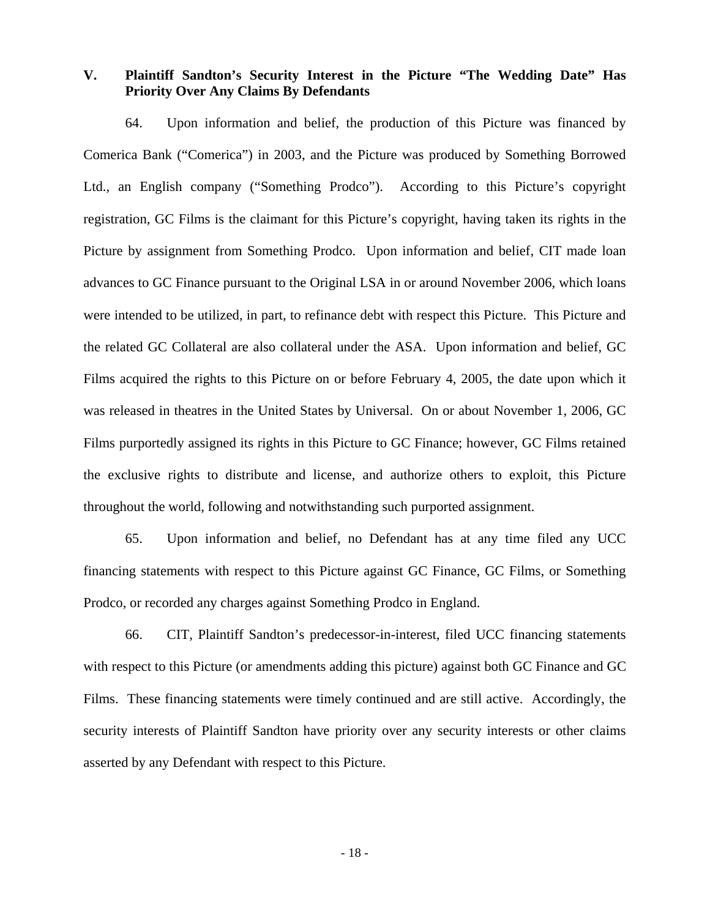**V. Plaintiff Sandton's Security Interest in the Picture "The Wedding Date" Has Priority Over Any Claims By Defendants** 

64. Upon information and belief, the production of this Picture was financed by Comerica Bank ("Comerica") in 2003, and the Picture was produced by Something Borrowed Ltd., an English company ("Something Prodco"). According to this Picture's copyright registration, GC Films is the claimant for this Picture's copyright, having taken its rights in the Picture by assignment from Something Prodco. Upon information and belief, CIT made loan advances to GC Finance pursuant to the Original LSA in or around November 2006, which loans were intended to be utilized, in part, to refinance debt with respect this Picture. This Picture and the related GC Collateral are also collateral under the ASA. Upon information and belief, GC Films acquired the rights to this Picture on or before February 4, 2005, the date upon which it was released in theatres in the United States by Universal. On or about November 1, 2006, GC Films purportedly assigned its rights in this Picture to GC Finance; however, GC Films retained the exclusive rights to distribute and license, and authorize others to exploit, this Picture throughout the world, following and notwithstanding such purported assignment.

65. Upon information and belief, no Defendant has at any time filed any UCC financing statements with respect to this Picture against GC Finance, GC Films, or Something Prodco, or recorded any charges against Something Prodco in England.

66. CIT, Plaintiff Sandton's predecessor-in-interest, filed UCC financing statements with respect to this Picture (or amendments adding this picture) against both GC Finance and GC Films. These financing statements were timely continued and are still active. Accordingly, the security interests of Plaintiff Sandton have priority over any security interests or other claims asserted by any Defendant with respect to this Picture.

- 18 -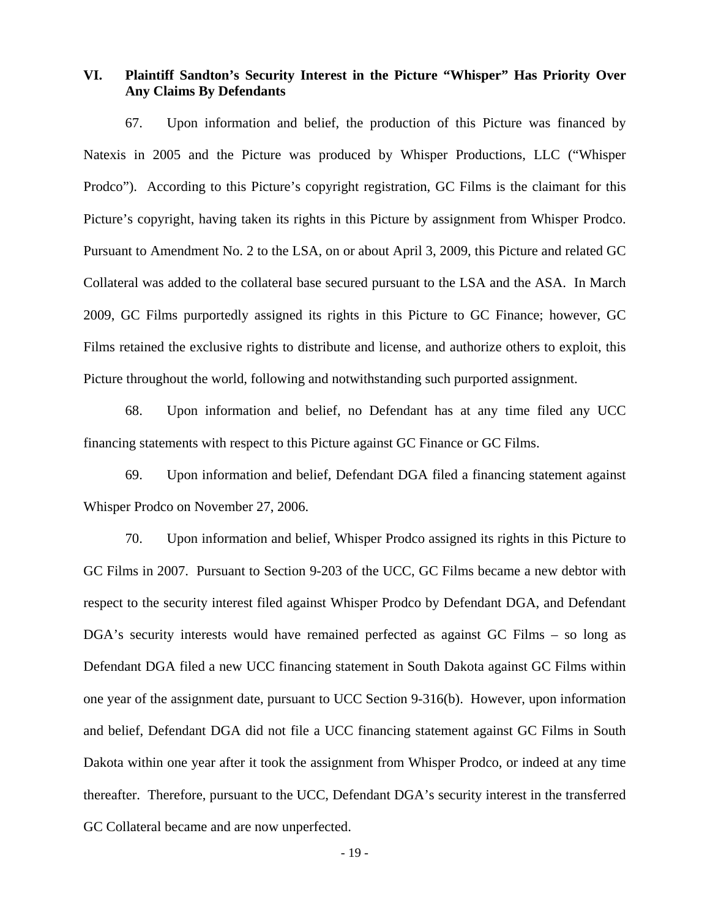# **VI. Plaintiff Sandton's Security Interest in the Picture "Whisper" Has Priority Over Any Claims By Defendants**

67. Upon information and belief, the production of this Picture was financed by Natexis in 2005 and the Picture was produced by Whisper Productions, LLC ("Whisper Prodco"). According to this Picture's copyright registration, GC Films is the claimant for this Picture's copyright, having taken its rights in this Picture by assignment from Whisper Prodco. Pursuant to Amendment No. 2 to the LSA, on or about April 3, 2009, this Picture and related GC Collateral was added to the collateral base secured pursuant to the LSA and the ASA. In March 2009, GC Films purportedly assigned its rights in this Picture to GC Finance; however, GC Films retained the exclusive rights to distribute and license, and authorize others to exploit, this Picture throughout the world, following and notwithstanding such purported assignment.

68. Upon information and belief, no Defendant has at any time filed any UCC financing statements with respect to this Picture against GC Finance or GC Films.

69. Upon information and belief, Defendant DGA filed a financing statement against Whisper Prodco on November 27, 2006.

70. Upon information and belief, Whisper Prodco assigned its rights in this Picture to GC Films in 2007. Pursuant to Section 9-203 of the UCC, GC Films became a new debtor with respect to the security interest filed against Whisper Prodco by Defendant DGA, and Defendant DGA's security interests would have remained perfected as against GC Films – so long as Defendant DGA filed a new UCC financing statement in South Dakota against GC Films within one year of the assignment date, pursuant to UCC Section 9-316(b). However, upon information and belief, Defendant DGA did not file a UCC financing statement against GC Films in South Dakota within one year after it took the assignment from Whisper Prodco, or indeed at any time thereafter. Therefore, pursuant to the UCC, Defendant DGA's security interest in the transferred GC Collateral became and are now unperfected.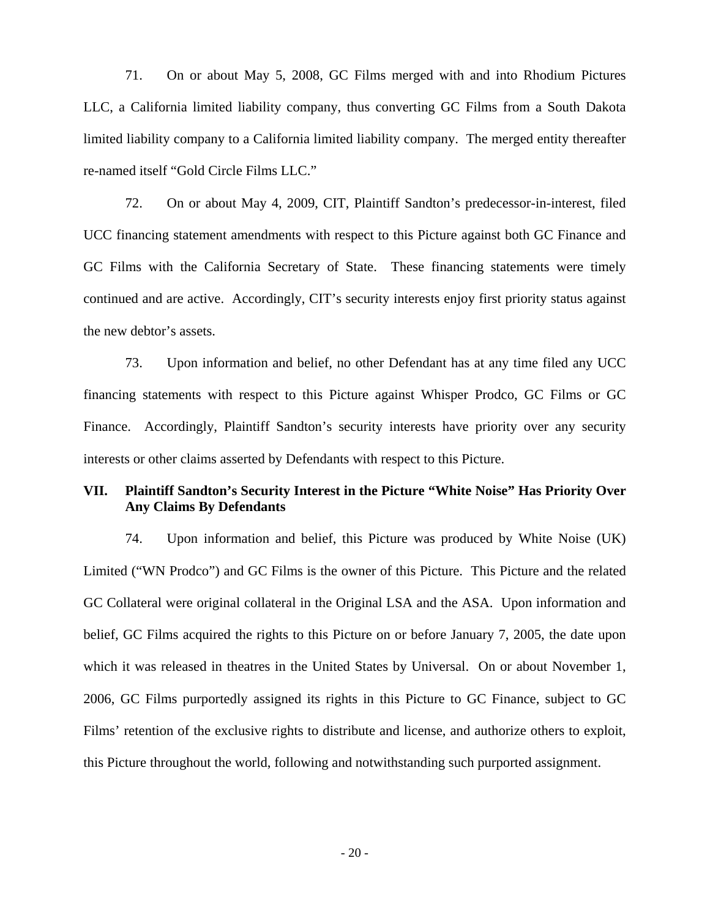71. On or about May 5, 2008, GC Films merged with and into Rhodium Pictures LLC, a California limited liability company, thus converting GC Films from a South Dakota limited liability company to a California limited liability company. The merged entity thereafter re-named itself "Gold Circle Films LLC."

72. On or about May 4, 2009, CIT, Plaintiff Sandton's predecessor-in-interest, filed UCC financing statement amendments with respect to this Picture against both GC Finance and GC Films with the California Secretary of State. These financing statements were timely continued and are active. Accordingly, CIT's security interests enjoy first priority status against the new debtor's assets.

73. Upon information and belief, no other Defendant has at any time filed any UCC financing statements with respect to this Picture against Whisper Prodco, GC Films or GC Finance. Accordingly, Plaintiff Sandton's security interests have priority over any security interests or other claims asserted by Defendants with respect to this Picture.

# **VII. Plaintiff Sandton's Security Interest in the Picture "White Noise" Has Priority Over Any Claims By Defendants**

74. Upon information and belief, this Picture was produced by White Noise (UK) Limited ("WN Prodco") and GC Films is the owner of this Picture. This Picture and the related GC Collateral were original collateral in the Original LSA and the ASA. Upon information and belief, GC Films acquired the rights to this Picture on or before January 7, 2005, the date upon which it was released in theatres in the United States by Universal. On or about November 1, 2006, GC Films purportedly assigned its rights in this Picture to GC Finance, subject to GC Films' retention of the exclusive rights to distribute and license, and authorize others to exploit, this Picture throughout the world, following and notwithstanding such purported assignment.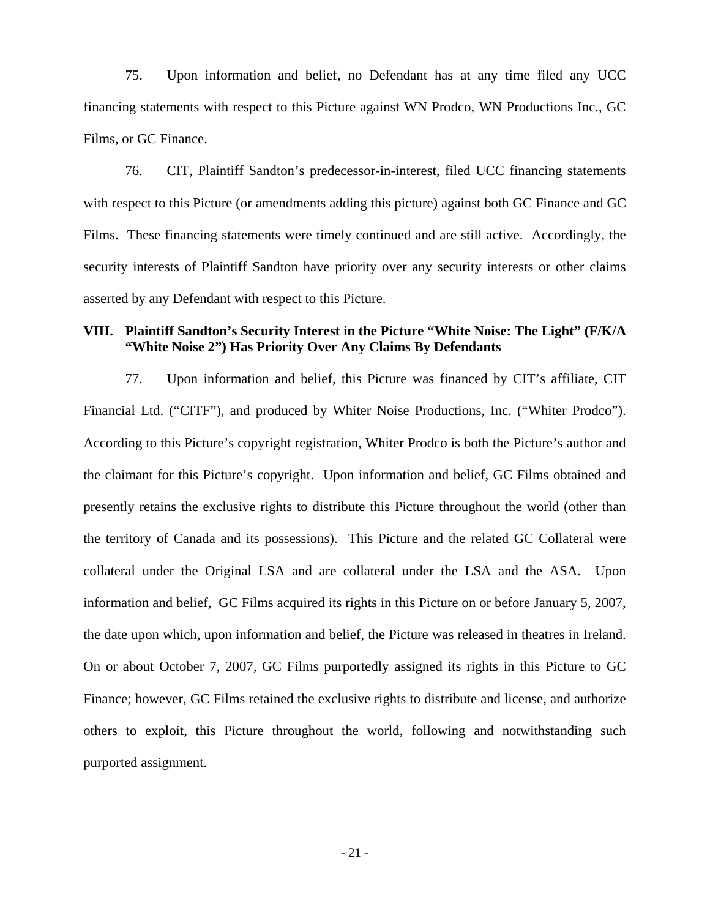75. Upon information and belief, no Defendant has at any time filed any UCC financing statements with respect to this Picture against WN Prodco, WN Productions Inc., GC Films, or GC Finance.

76. CIT, Plaintiff Sandton's predecessor-in-interest, filed UCC financing statements with respect to this Picture (or amendments adding this picture) against both GC Finance and GC Films. These financing statements were timely continued and are still active. Accordingly, the security interests of Plaintiff Sandton have priority over any security interests or other claims asserted by any Defendant with respect to this Picture.

### **VIII. Plaintiff Sandton's Security Interest in the Picture "White Noise: The Light" (F/K/A "White Noise 2") Has Priority Over Any Claims By Defendants**

77. Upon information and belief, this Picture was financed by CIT's affiliate, CIT Financial Ltd. ("CITF"), and produced by Whiter Noise Productions, Inc. ("Whiter Prodco"). According to this Picture's copyright registration, Whiter Prodco is both the Picture's author and the claimant for this Picture's copyright. Upon information and belief, GC Films obtained and presently retains the exclusive rights to distribute this Picture throughout the world (other than the territory of Canada and its possessions). This Picture and the related GC Collateral were collateral under the Original LSA and are collateral under the LSA and the ASA. Upon information and belief, GC Films acquired its rights in this Picture on or before January 5, 2007, the date upon which, upon information and belief, the Picture was released in theatres in Ireland. On or about October 7, 2007, GC Films purportedly assigned its rights in this Picture to GC Finance; however, GC Films retained the exclusive rights to distribute and license, and authorize others to exploit, this Picture throughout the world, following and notwithstanding such purported assignment.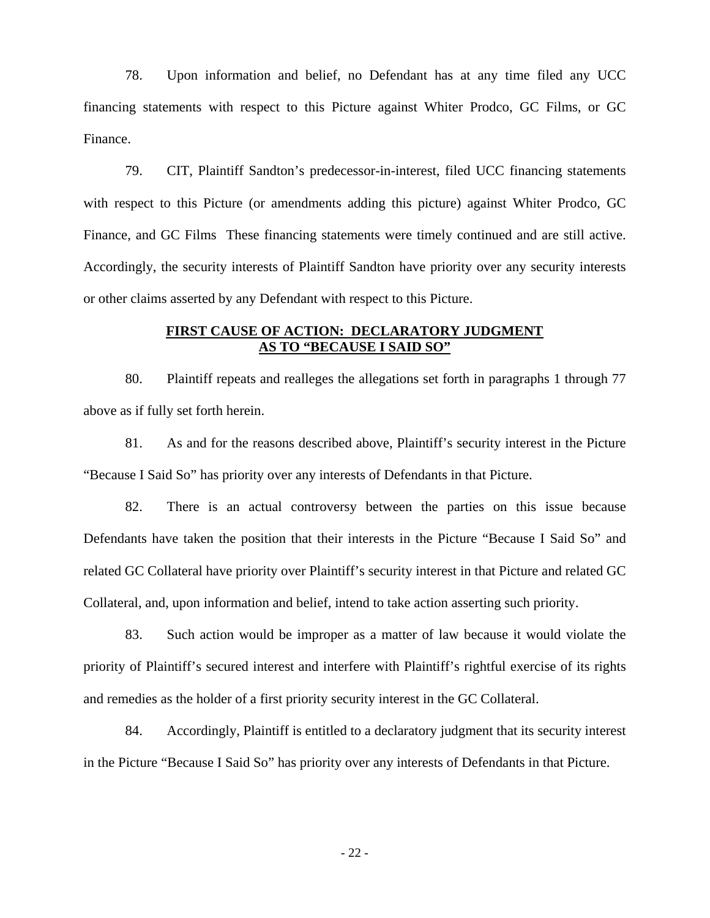78. Upon information and belief, no Defendant has at any time filed any UCC financing statements with respect to this Picture against Whiter Prodco, GC Films, or GC Finance.

79. CIT, Plaintiff Sandton's predecessor-in-interest, filed UCC financing statements with respect to this Picture (or amendments adding this picture) against Whiter Prodco, GC Finance, and GC Films These financing statements were timely continued and are still active. Accordingly, the security interests of Plaintiff Sandton have priority over any security interests or other claims asserted by any Defendant with respect to this Picture.

## **FIRST CAUSE OF ACTION: DECLARATORY JUDGMENT AS TO "BECAUSE I SAID SO"**

80. Plaintiff repeats and realleges the allegations set forth in paragraphs 1 through 77 above as if fully set forth herein.

81. As and for the reasons described above, Plaintiff's security interest in the Picture "Because I Said So" has priority over any interests of Defendants in that Picture.

82. There is an actual controversy between the parties on this issue because Defendants have taken the position that their interests in the Picture "Because I Said So" and related GC Collateral have priority over Plaintiff's security interest in that Picture and related GC Collateral, and, upon information and belief, intend to take action asserting such priority.

83. Such action would be improper as a matter of law because it would violate the priority of Plaintiff's secured interest and interfere with Plaintiff's rightful exercise of its rights and remedies as the holder of a first priority security interest in the GC Collateral.

84. Accordingly, Plaintiff is entitled to a declaratory judgment that its security interest in the Picture "Because I Said So" has priority over any interests of Defendants in that Picture.

- 22 -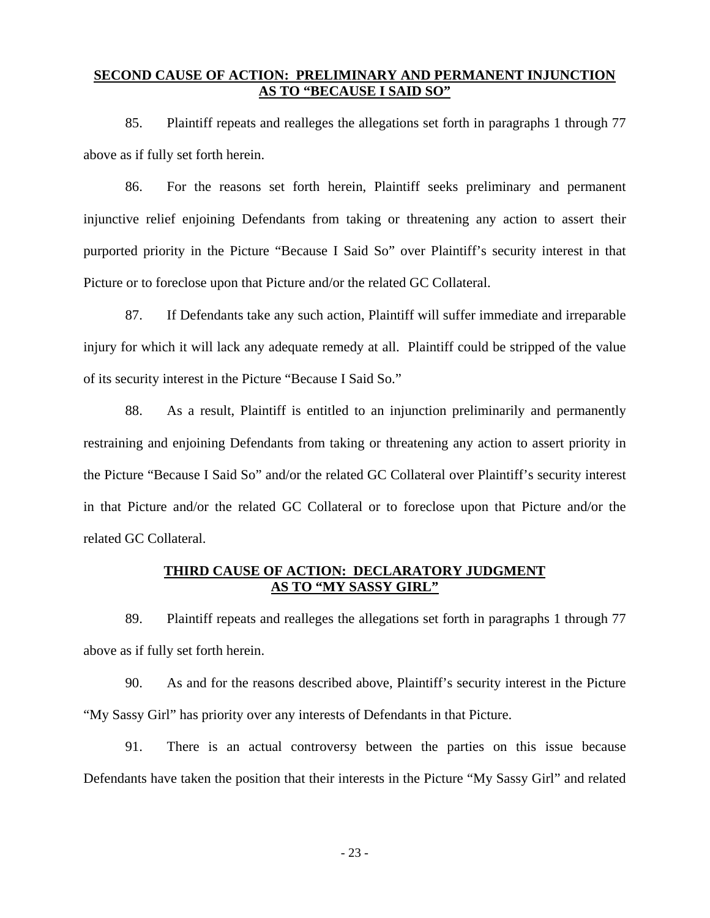### **SECOND CAUSE OF ACTION: PRELIMINARY AND PERMANENT INJUNCTION AS TO "BECAUSE I SAID SO"**

85. Plaintiff repeats and realleges the allegations set forth in paragraphs 1 through 77 above as if fully set forth herein.

86. For the reasons set forth herein, Plaintiff seeks preliminary and permanent injunctive relief enjoining Defendants from taking or threatening any action to assert their purported priority in the Picture "Because I Said So" over Plaintiff's security interest in that Picture or to foreclose upon that Picture and/or the related GC Collateral.

87. If Defendants take any such action, Plaintiff will suffer immediate and irreparable injury for which it will lack any adequate remedy at all. Plaintiff could be stripped of the value of its security interest in the Picture "Because I Said So."

88. As a result, Plaintiff is entitled to an injunction preliminarily and permanently restraining and enjoining Defendants from taking or threatening any action to assert priority in the Picture "Because I Said So" and/or the related GC Collateral over Plaintiff's security interest in that Picture and/or the related GC Collateral or to foreclose upon that Picture and/or the related GC Collateral.

### **THIRD CAUSE OF ACTION: DECLARATORY JUDGMENT AS TO "MY SASSY GIRL"**

89. Plaintiff repeats and realleges the allegations set forth in paragraphs 1 through 77 above as if fully set forth herein.

90. As and for the reasons described above, Plaintiff's security interest in the Picture "My Sassy Girl" has priority over any interests of Defendants in that Picture.

91. There is an actual controversy between the parties on this issue because Defendants have taken the position that their interests in the Picture "My Sassy Girl" and related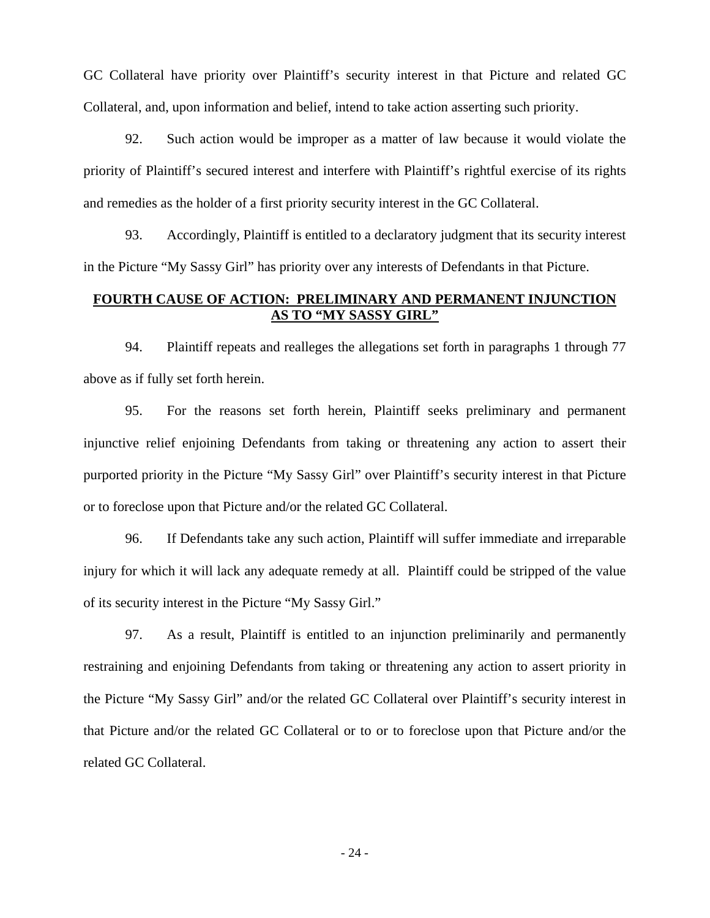GC Collateral have priority over Plaintiff's security interest in that Picture and related GC Collateral, and, upon information and belief, intend to take action asserting such priority.

92. Such action would be improper as a matter of law because it would violate the priority of Plaintiff's secured interest and interfere with Plaintiff's rightful exercise of its rights and remedies as the holder of a first priority security interest in the GC Collateral.

93. Accordingly, Plaintiff is entitled to a declaratory judgment that its security interest in the Picture "My Sassy Girl" has priority over any interests of Defendants in that Picture.

# **FOURTH CAUSE OF ACTION: PRELIMINARY AND PERMANENT INJUNCTION AS TO "MY SASSY GIRL"**

94. Plaintiff repeats and realleges the allegations set forth in paragraphs 1 through 77 above as if fully set forth herein.

95. For the reasons set forth herein, Plaintiff seeks preliminary and permanent injunctive relief enjoining Defendants from taking or threatening any action to assert their purported priority in the Picture "My Sassy Girl" over Plaintiff's security interest in that Picture or to foreclose upon that Picture and/or the related GC Collateral.

96. If Defendants take any such action, Plaintiff will suffer immediate and irreparable injury for which it will lack any adequate remedy at all. Plaintiff could be stripped of the value of its security interest in the Picture "My Sassy Girl."

97. As a result, Plaintiff is entitled to an injunction preliminarily and permanently restraining and enjoining Defendants from taking or threatening any action to assert priority in the Picture "My Sassy Girl" and/or the related GC Collateral over Plaintiff's security interest in that Picture and/or the related GC Collateral or to or to foreclose upon that Picture and/or the related GC Collateral.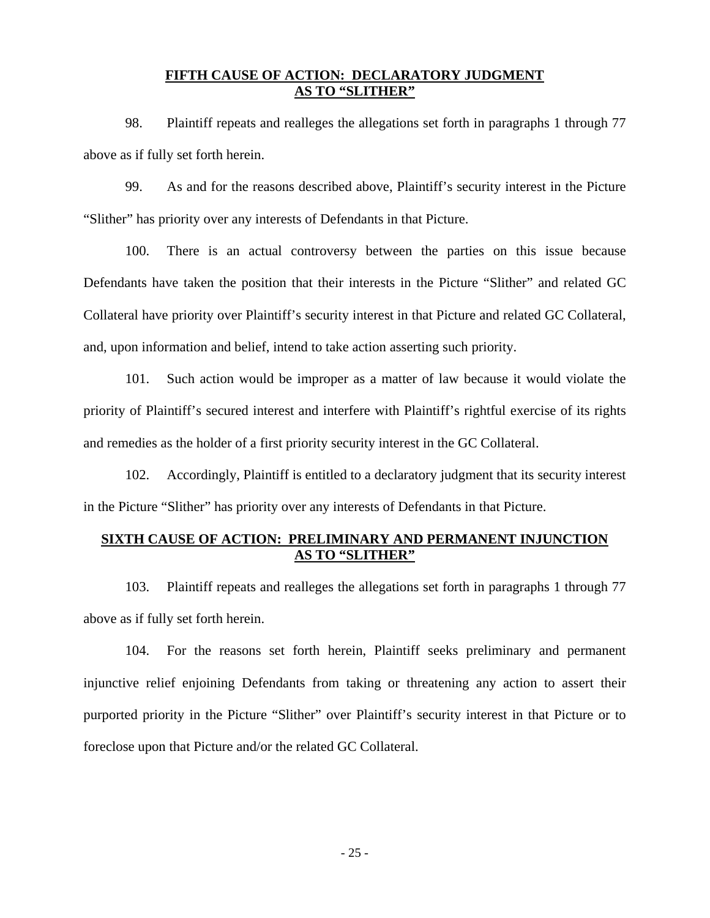#### **FIFTH CAUSE OF ACTION: DECLARATORY JUDGMENT AS TO "SLITHER"**

98. Plaintiff repeats and realleges the allegations set forth in paragraphs 1 through 77 above as if fully set forth herein.

99. As and for the reasons described above, Plaintiff's security interest in the Picture "Slither" has priority over any interests of Defendants in that Picture.

100. There is an actual controversy between the parties on this issue because Defendants have taken the position that their interests in the Picture "Slither" and related GC Collateral have priority over Plaintiff's security interest in that Picture and related GC Collateral, and, upon information and belief, intend to take action asserting such priority.

101. Such action would be improper as a matter of law because it would violate the priority of Plaintiff's secured interest and interfere with Plaintiff's rightful exercise of its rights and remedies as the holder of a first priority security interest in the GC Collateral.

102. Accordingly, Plaintiff is entitled to a declaratory judgment that its security interest in the Picture "Slither" has priority over any interests of Defendants in that Picture.

# **SIXTH CAUSE OF ACTION: PRELIMINARY AND PERMANENT INJUNCTION AS TO "SLITHER"**

103. Plaintiff repeats and realleges the allegations set forth in paragraphs 1 through 77 above as if fully set forth herein.

104. For the reasons set forth herein, Plaintiff seeks preliminary and permanent injunctive relief enjoining Defendants from taking or threatening any action to assert their purported priority in the Picture "Slither" over Plaintiff's security interest in that Picture or to foreclose upon that Picture and/or the related GC Collateral.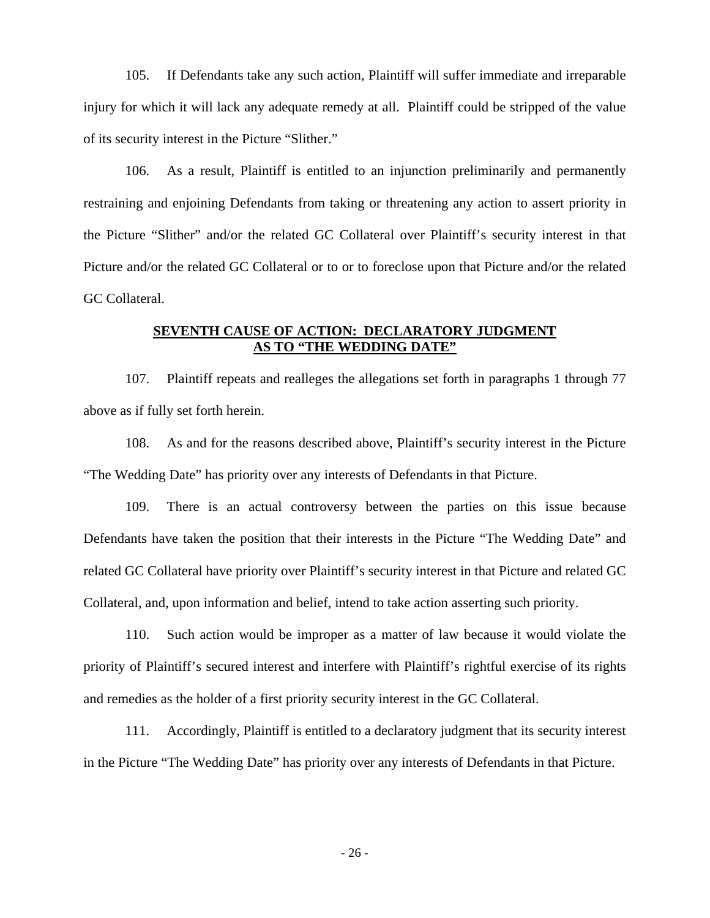105. If Defendants take any such action, Plaintiff will suffer immediate and irreparable injury for which it will lack any adequate remedy at all. Plaintiff could be stripped of the value of its security interest in the Picture "Slither."

106. As a result, Plaintiff is entitled to an injunction preliminarily and permanently restraining and enjoining Defendants from taking or threatening any action to assert priority in the Picture "Slither" and/or the related GC Collateral over Plaintiff's security interest in that Picture and/or the related GC Collateral or to or to foreclose upon that Picture and/or the related GC Collateral.

# **SEVENTH CAUSE OF ACTION: DECLARATORY JUDGMENT AS TO "THE WEDDING DATE"**

107. Plaintiff repeats and realleges the allegations set forth in paragraphs 1 through 77 above as if fully set forth herein.

108. As and for the reasons described above, Plaintiff's security interest in the Picture "The Wedding Date" has priority over any interests of Defendants in that Picture.

109. There is an actual controversy between the parties on this issue because Defendants have taken the position that their interests in the Picture "The Wedding Date" and related GC Collateral have priority over Plaintiff's security interest in that Picture and related GC Collateral, and, upon information and belief, intend to take action asserting such priority.

110. Such action would be improper as a matter of law because it would violate the priority of Plaintiff's secured interest and interfere with Plaintiff's rightful exercise of its rights and remedies as the holder of a first priority security interest in the GC Collateral.

111. Accordingly, Plaintiff is entitled to a declaratory judgment that its security interest in the Picture "The Wedding Date" has priority over any interests of Defendants in that Picture.

- 26 -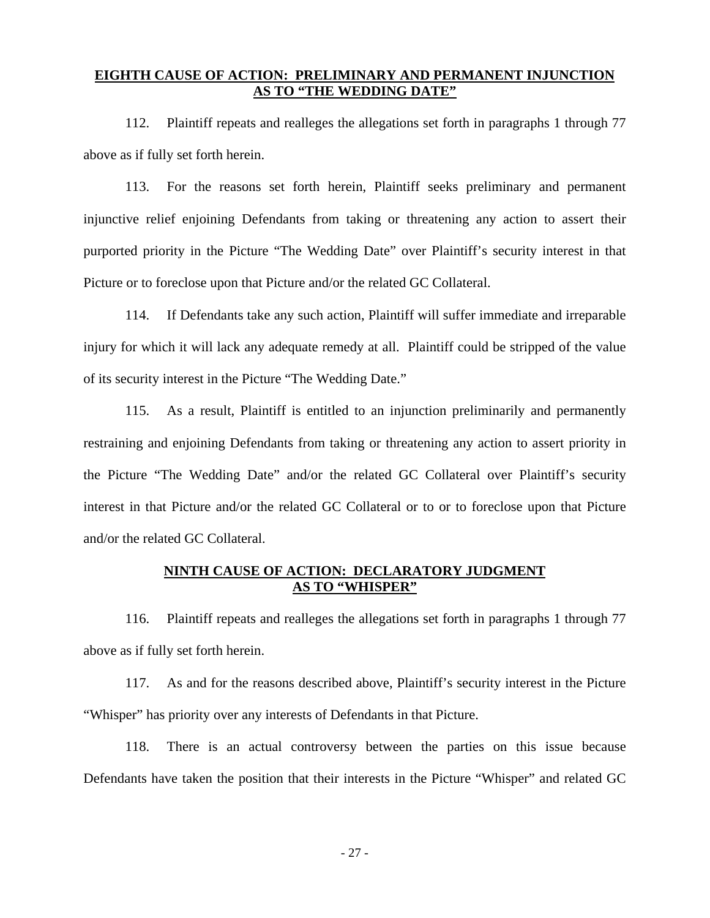#### **EIGHTH CAUSE OF ACTION: PRELIMINARY AND PERMANENT INJUNCTION AS TO "THE WEDDING DATE"**

112. Plaintiff repeats and realleges the allegations set forth in paragraphs 1 through 77 above as if fully set forth herein.

113. For the reasons set forth herein, Plaintiff seeks preliminary and permanent injunctive relief enjoining Defendants from taking or threatening any action to assert their purported priority in the Picture "The Wedding Date" over Plaintiff's security interest in that Picture or to foreclose upon that Picture and/or the related GC Collateral.

114. If Defendants take any such action, Plaintiff will suffer immediate and irreparable injury for which it will lack any adequate remedy at all. Plaintiff could be stripped of the value of its security interest in the Picture "The Wedding Date."

115. As a result, Plaintiff is entitled to an injunction preliminarily and permanently restraining and enjoining Defendants from taking or threatening any action to assert priority in the Picture "The Wedding Date" and/or the related GC Collateral over Plaintiff's security interest in that Picture and/or the related GC Collateral or to or to foreclose upon that Picture and/or the related GC Collateral.

#### **NINTH CAUSE OF ACTION: DECLARATORY JUDGMENT AS TO "WHISPER"**

116. Plaintiff repeats and realleges the allegations set forth in paragraphs 1 through 77 above as if fully set forth herein.

117. As and for the reasons described above, Plaintiff's security interest in the Picture "Whisper" has priority over any interests of Defendants in that Picture.

118. There is an actual controversy between the parties on this issue because Defendants have taken the position that their interests in the Picture "Whisper" and related GC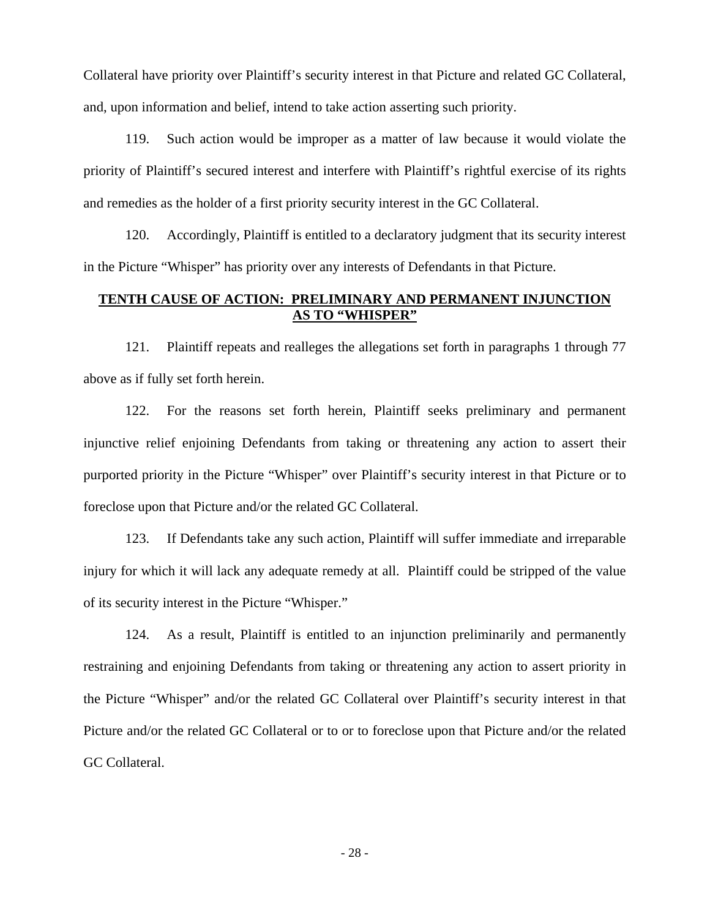Collateral have priority over Plaintiff's security interest in that Picture and related GC Collateral, and, upon information and belief, intend to take action asserting such priority.

119. Such action would be improper as a matter of law because it would violate the priority of Plaintiff's secured interest and interfere with Plaintiff's rightful exercise of its rights and remedies as the holder of a first priority security interest in the GC Collateral.

120. Accordingly, Plaintiff is entitled to a declaratory judgment that its security interest in the Picture "Whisper" has priority over any interests of Defendants in that Picture.

# **TENTH CAUSE OF ACTION: PRELIMINARY AND PERMANENT INJUNCTION AS TO "WHISPER"**

121. Plaintiff repeats and realleges the allegations set forth in paragraphs 1 through 77 above as if fully set forth herein.

122. For the reasons set forth herein, Plaintiff seeks preliminary and permanent injunctive relief enjoining Defendants from taking or threatening any action to assert their purported priority in the Picture "Whisper" over Plaintiff's security interest in that Picture or to foreclose upon that Picture and/or the related GC Collateral.

123. If Defendants take any such action, Plaintiff will suffer immediate and irreparable injury for which it will lack any adequate remedy at all. Plaintiff could be stripped of the value of its security interest in the Picture "Whisper."

124. As a result, Plaintiff is entitled to an injunction preliminarily and permanently restraining and enjoining Defendants from taking or threatening any action to assert priority in the Picture "Whisper" and/or the related GC Collateral over Plaintiff's security interest in that Picture and/or the related GC Collateral or to or to foreclose upon that Picture and/or the related GC Collateral.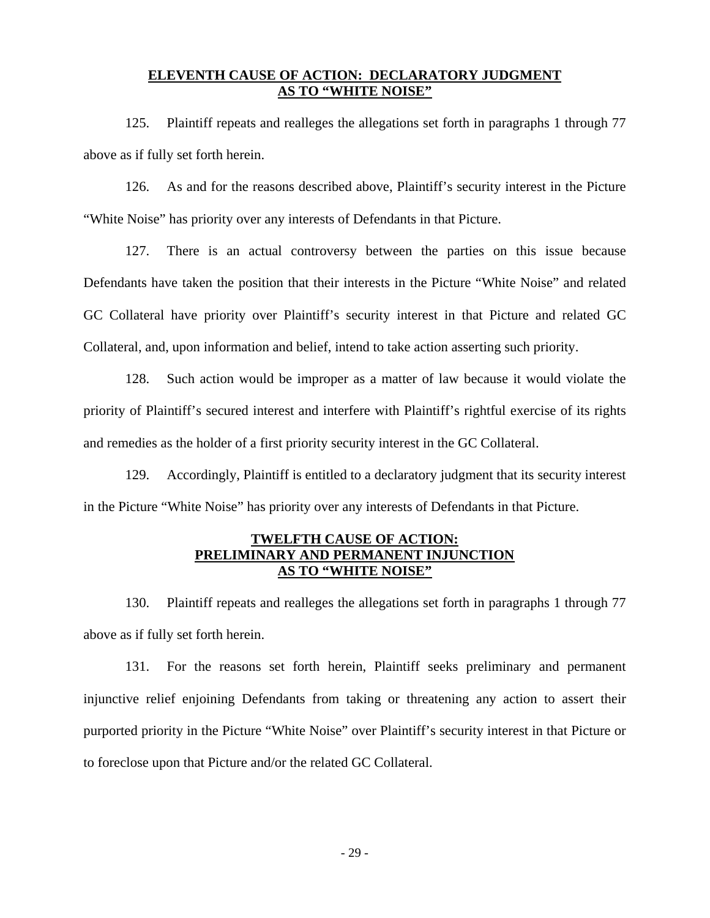# **ELEVENTH CAUSE OF ACTION: DECLARATORY JUDGMENT AS TO "WHITE NOISE"**

125. Plaintiff repeats and realleges the allegations set forth in paragraphs 1 through 77 above as if fully set forth herein.

126. As and for the reasons described above, Plaintiff's security interest in the Picture "White Noise" has priority over any interests of Defendants in that Picture.

127. There is an actual controversy between the parties on this issue because Defendants have taken the position that their interests in the Picture "White Noise" and related GC Collateral have priority over Plaintiff's security interest in that Picture and related GC Collateral, and, upon information and belief, intend to take action asserting such priority.

128. Such action would be improper as a matter of law because it would violate the priority of Plaintiff's secured interest and interfere with Plaintiff's rightful exercise of its rights and remedies as the holder of a first priority security interest in the GC Collateral.

129. Accordingly, Plaintiff is entitled to a declaratory judgment that its security interest in the Picture "White Noise" has priority over any interests of Defendants in that Picture.

# **TWELFTH CAUSE OF ACTION: PRELIMINARY AND PERMANENT INJUNCTION AS TO "WHITE NOISE"**

130. Plaintiff repeats and realleges the allegations set forth in paragraphs 1 through 77 above as if fully set forth herein.

131. For the reasons set forth herein, Plaintiff seeks preliminary and permanent injunctive relief enjoining Defendants from taking or threatening any action to assert their purported priority in the Picture "White Noise" over Plaintiff's security interest in that Picture or to foreclose upon that Picture and/or the related GC Collateral.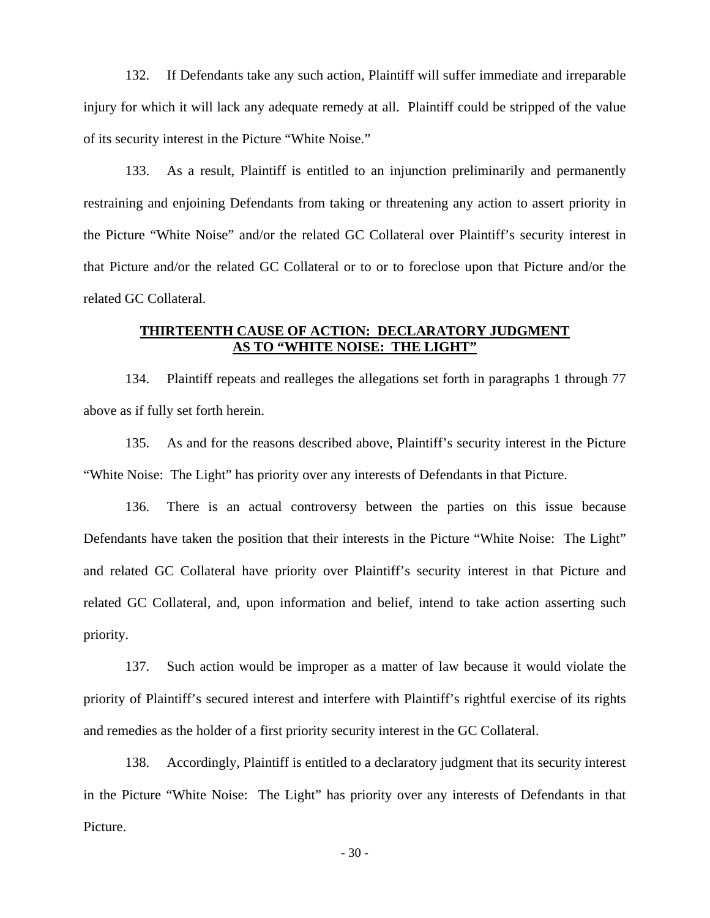132. If Defendants take any such action, Plaintiff will suffer immediate and irreparable injury for which it will lack any adequate remedy at all. Plaintiff could be stripped of the value of its security interest in the Picture "White Noise."

133. As a result, Plaintiff is entitled to an injunction preliminarily and permanently restraining and enjoining Defendants from taking or threatening any action to assert priority in the Picture "White Noise" and/or the related GC Collateral over Plaintiff's security interest in that Picture and/or the related GC Collateral or to or to foreclose upon that Picture and/or the related GC Collateral.

### **THIRTEENTH CAUSE OF ACTION: DECLARATORY JUDGMENT AS TO "WHITE NOISE: THE LIGHT"**

134. Plaintiff repeats and realleges the allegations set forth in paragraphs 1 through 77 above as if fully set forth herein.

135. As and for the reasons described above, Plaintiff's security interest in the Picture "White Noise: The Light" has priority over any interests of Defendants in that Picture.

136. There is an actual controversy between the parties on this issue because Defendants have taken the position that their interests in the Picture "White Noise: The Light" and related GC Collateral have priority over Plaintiff's security interest in that Picture and related GC Collateral, and, upon information and belief, intend to take action asserting such priority.

137. Such action would be improper as a matter of law because it would violate the priority of Plaintiff's secured interest and interfere with Plaintiff's rightful exercise of its rights and remedies as the holder of a first priority security interest in the GC Collateral.

138. Accordingly, Plaintiff is entitled to a declaratory judgment that its security interest in the Picture "White Noise: The Light" has priority over any interests of Defendants in that Picture.

- 30 -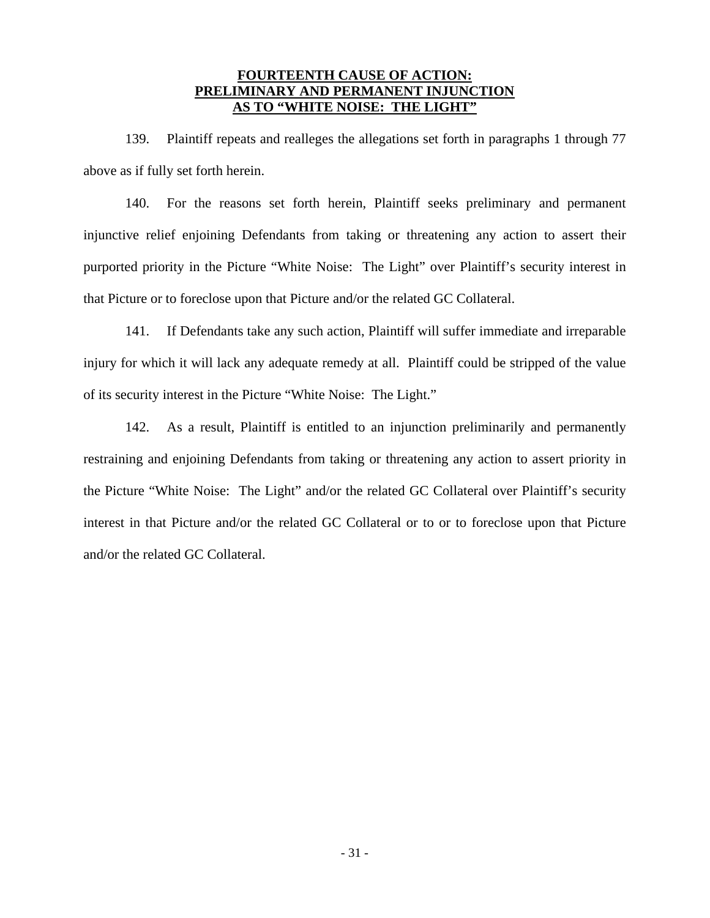### **FOURTEENTH CAUSE OF ACTION: PRELIMINARY AND PERMANENT INJUNCTION AS TO "WHITE NOISE: THE LIGHT"**

139. Plaintiff repeats and realleges the allegations set forth in paragraphs 1 through 77 above as if fully set forth herein.

140. For the reasons set forth herein, Plaintiff seeks preliminary and permanent injunctive relief enjoining Defendants from taking or threatening any action to assert their purported priority in the Picture "White Noise: The Light" over Plaintiff's security interest in that Picture or to foreclose upon that Picture and/or the related GC Collateral.

141. If Defendants take any such action, Plaintiff will suffer immediate and irreparable injury for which it will lack any adequate remedy at all. Plaintiff could be stripped of the value of its security interest in the Picture "White Noise: The Light."

142. As a result, Plaintiff is entitled to an injunction preliminarily and permanently restraining and enjoining Defendants from taking or threatening any action to assert priority in the Picture "White Noise: The Light" and/or the related GC Collateral over Plaintiff's security interest in that Picture and/or the related GC Collateral or to or to foreclose upon that Picture and/or the related GC Collateral.